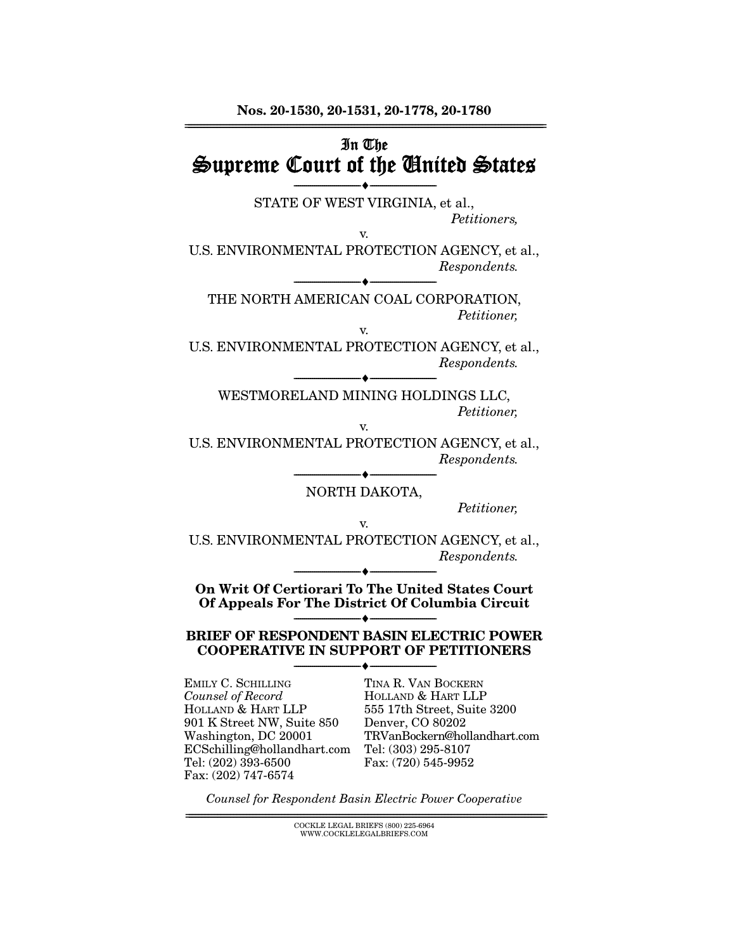## In The Supreme Court of the United States

--------------------------------- ♦ ---------------------------------

STATE OF WEST VIRGINIA, et al.,

Petitioners,

U.S. ENVIRONMENTAL PROTECTION AGENCY, et al., Respondents.

v.

THE NORTH AMERICAN COAL CORPORATION, Petitioner, v.

--------------------------------- ♦ ---------------------------------

U.S. ENVIRONMENTAL PROTECTION AGENCY, et al., Respondents.

WESTMORELAND MINING HOLDINGS LLC, Petitioner,

--------------------------------- ♦ ---------------------------------

v.

U.S. ENVIRONMENTAL PROTECTION AGENCY, et al., Respondents.

> --------------------------------- ♦ --------------------------------- NORTH DAKOTA,

> > Petitioner,

v.

U.S. ENVIRONMENTAL PROTECTION AGENCY, et al., Respondents. --------------------------------- ♦ ---------------------------------

**On Writ Of Certiorari To The United States Court Of Appeals For The District Of Columbia Circuit** --------------------------------- ♦ ---------------------------------

**BRIEF OF RESPONDENT BASIN ELECTRIC POWER COOPERATIVE IN SUPPORT OF PETITIONERS** --------------------------------- ♦ ---------------------------------

EMILY C. SCHILLING Counsel of Record HOLLAND & HART LLP 901 K Street NW, Suite 850 Washington, DC 20001 ECSchilling@hollandhart.com Tel: (303) 295-8107 Tel: (202) 393-6500 Fax: (202) 747-6574

TINA R. VAN BOCKERN HOLLAND & HART LLP 555 17th Street, Suite 3200 Denver, CO 80202 TRVanBockern@hollandhart.com Fax: (720) 545-9952

Counsel for Respondent Basin Electric Power Cooperative

 ${ \rm COCKLE}$  LEGAL BRIEFS (800) 225-6964 WWW.COCKLELEGALBRIEFS.COM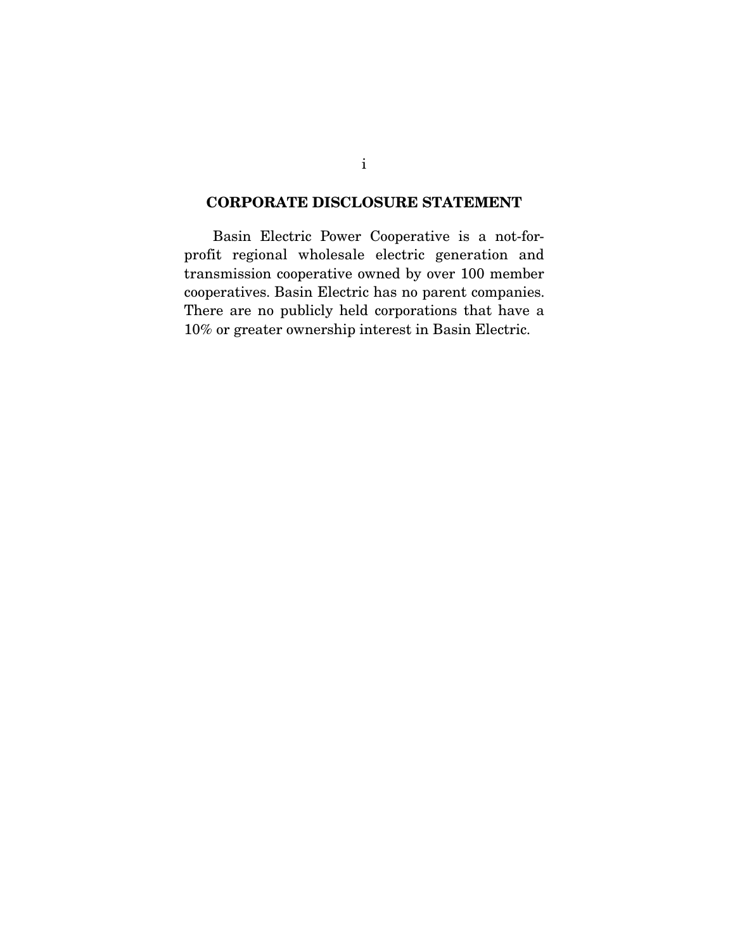#### **CORPORATE DISCLOSURE STATEMENT**

 Basin Electric Power Cooperative is a not-forprofit regional wholesale electric generation and transmission cooperative owned by over 100 member cooperatives. Basin Electric has no parent companies. There are no publicly held corporations that have a 10% or greater ownership interest in Basin Electric.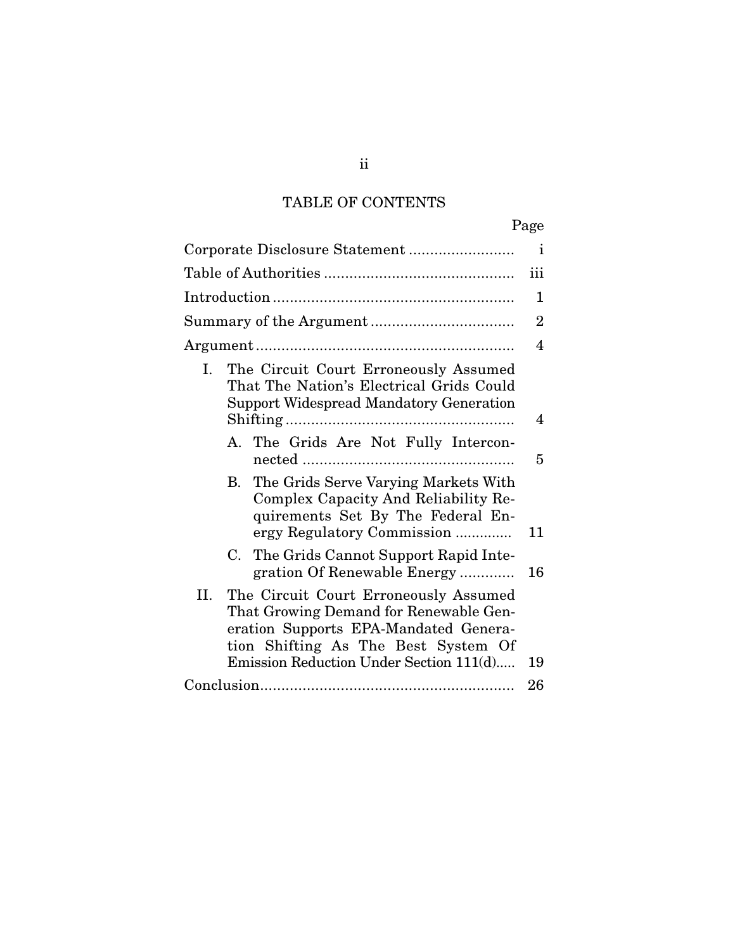# TABLE OF CONTENTS

|                                                                                                                                                                                                                   | Page           |
|-------------------------------------------------------------------------------------------------------------------------------------------------------------------------------------------------------------------|----------------|
|                                                                                                                                                                                                                   | $\mathbf{i}$   |
|                                                                                                                                                                                                                   | iii            |
|                                                                                                                                                                                                                   | 1              |
|                                                                                                                                                                                                                   | $\overline{2}$ |
|                                                                                                                                                                                                                   | 4              |
| I.<br>The Circuit Court Erroneously Assumed<br>That The Nation's Electrical Grids Could<br><b>Support Widespread Mandatory Generation</b>                                                                         | 4              |
| A. The Grids Are Not Fully Intercon-                                                                                                                                                                              | 5              |
| The Grids Serve Varying Markets With<br>В.<br>Complex Capacity And Reliability Re-<br>quirements Set By The Federal En-<br>ergy Regulatory Commission                                                             | 11             |
| The Grids Cannot Support Rapid Inte-<br>C.<br>gration Of Renewable Energy                                                                                                                                         | 16             |
| II.<br>The Circuit Court Erroneously Assumed<br>That Growing Demand for Renewable Gen-<br>eration Supports EPA-Mandated Genera-<br>tion Shifting As The Best System Of<br>Emission Reduction Under Section 111(d) | 19             |
|                                                                                                                                                                                                                   | 26             |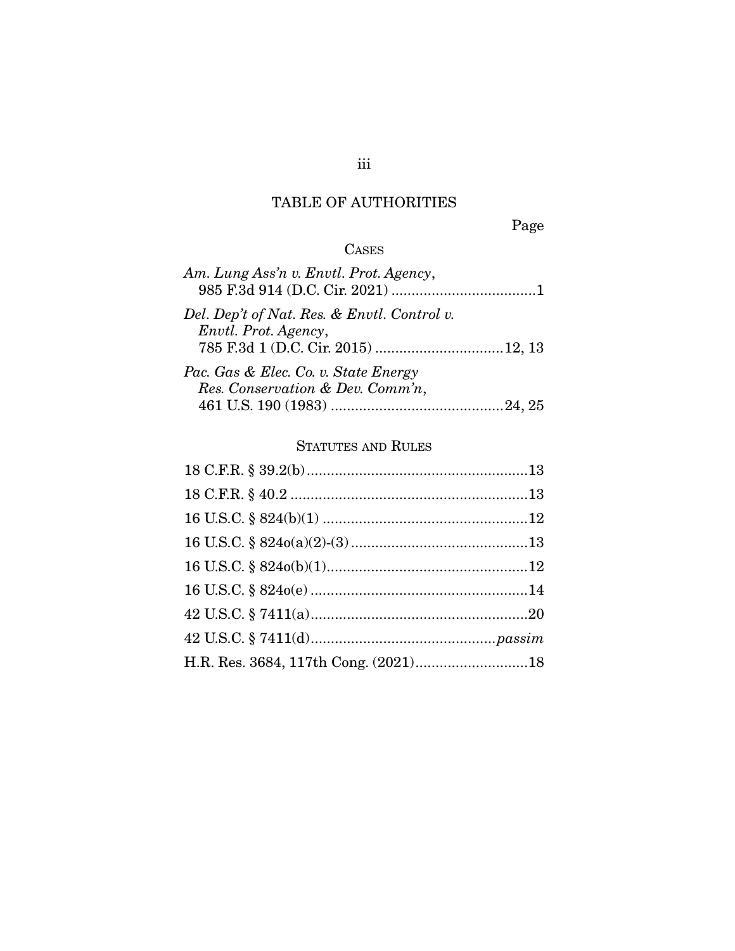# TABLE OF AUTHORITIES

Page

## CASES

| Am. Lung Ass'n v. Envtl. Prot. Agency,                                                                     |
|------------------------------------------------------------------------------------------------------------|
| Del. Dep't of Nat. Res. & Envtl. Control v.<br>Envtl. Prot. Agency,<br>785 F.3d 1 (D.C. Cir. 2015)  12, 13 |
| Pac. Gas & Elec. Co. v. State Energy<br>Res. Conservation & Dev. Comm'n,                                   |
|                                                                                                            |

## STATUTES AND RULES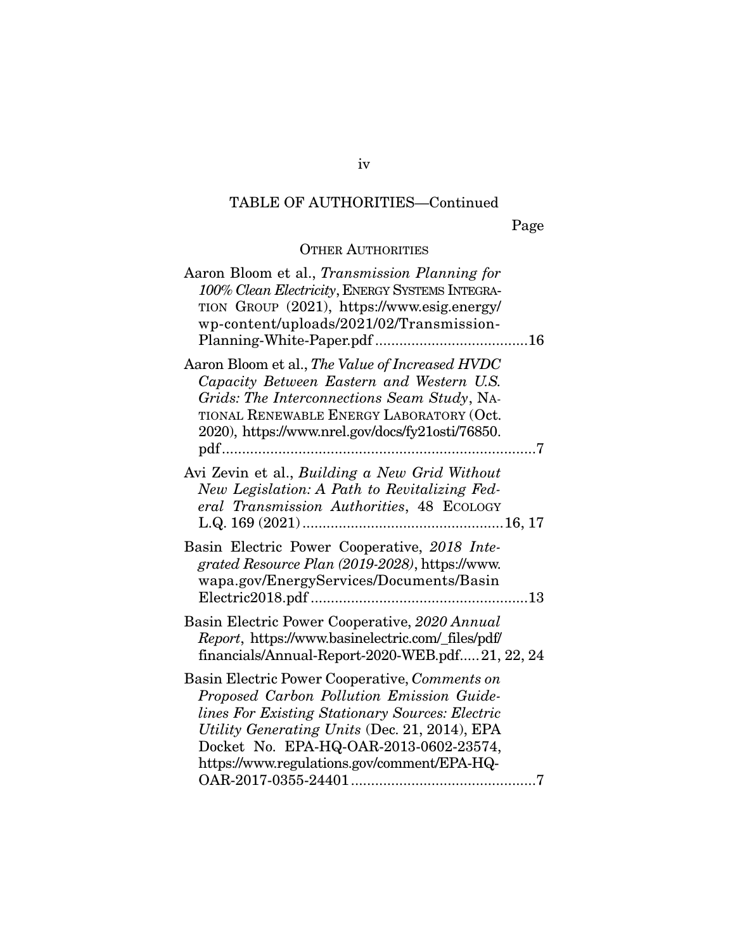Page

### OTHER AUTHORITIES

| Aaron Bloom et al., Transmission Planning for<br>100% Clean Electricity, ENERGY SYSTEMS INTEGRA-<br>TION GROUP (2021), https://www.esig.energy/<br>wp-content/uploads/2021/02/Transmission-                                                                                             |
|-----------------------------------------------------------------------------------------------------------------------------------------------------------------------------------------------------------------------------------------------------------------------------------------|
| Aaron Bloom et al., The Value of Increased HVDC<br>Capacity Between Eastern and Western U.S.<br>Grids: The Interconnections Seam Study, NA-<br>TIONAL RENEWABLE ENERGY LABORATORY (Oct.<br>2020), https://www.nrel.gov/docs/fy21osti/76850.<br>pdf                                      |
| Avi Zevin et al., Building a New Grid Without<br>New Legislation: A Path to Revitalizing Fed-<br>eral Transmission Authorities, 48 ECOLOGY                                                                                                                                              |
| Basin Electric Power Cooperative, 2018 Inte-<br>grated Resource Plan (2019-2028), https://www.<br>wapa.gov/EnergyServices/Documents/Basin                                                                                                                                               |
| Basin Electric Power Cooperative, 2020 Annual<br>Report, https://www.basinelectric.com/_files/pdf/<br>financials/Annual-Report-2020-WEB.pdf21, 22, 24                                                                                                                                   |
| Basin Electric Power Cooperative, Comments on<br>Proposed Carbon Pollution Emission Guide-<br>lines For Existing Stationary Sources: Electric<br>Utility Generating Units (Dec. 21, 2014), EPA<br>Docket No. EPA-HQ-OAR-2013-0602-23574,<br>https://www.regulations.gov/comment/EPA-HQ- |

iv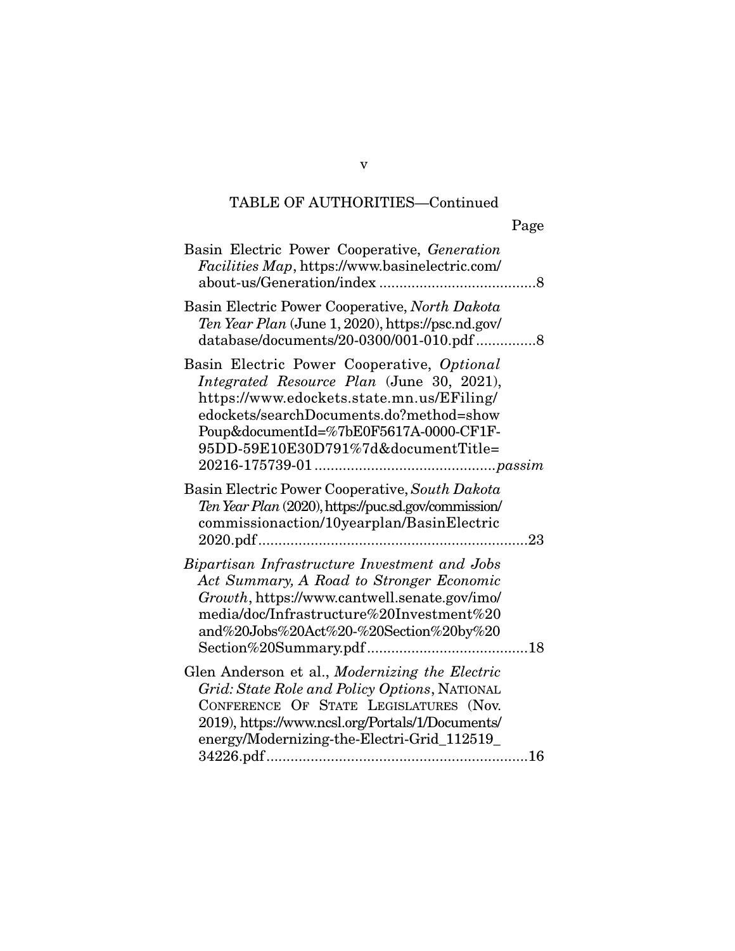Page

| Basin Electric Power Cooperative, Generation<br>Facilities Map, https://www.basinelectric.com/                                                                                                                                                                   |  |
|------------------------------------------------------------------------------------------------------------------------------------------------------------------------------------------------------------------------------------------------------------------|--|
| Basin Electric Power Cooperative, North Dakota<br>Ten Year Plan (June 1, 2020), https://psc.nd.gov/<br>database/documents/20-0300/001-010.pdf 8                                                                                                                  |  |
| Basin Electric Power Cooperative, Optional<br>Integrated Resource Plan (June 30, 2021),<br>https://www.edockets.state.mn.us/EFiling/<br>edockets/searchDocuments.do?method=show<br>Poup&documentId=%7bE0F5617A-0000-CF1F-<br>95DD-59E10E30D791%7d&documentTitle= |  |
| Basin Electric Power Cooperative, South Dakota<br>Ten Year Plan (2020), https://puc.sd.gov/commission/<br>commissionaction/10yearplan/BasinElectric<br>.23                                                                                                       |  |
| Bipartisan Infrastructure Investment and Jobs<br>Act Summary, A Road to Stronger Economic<br>Growth, https://www.cantwell.senate.gov/imo/<br>media/doc/Infrastructure%20Investment%20<br>and%20Jobs%20Act%20-%20Section%20by%20                                  |  |
| Glen Anderson et al., Modernizing the Electric<br>Grid: State Role and Policy Options, NATIONAL<br>CONFERENCE OF STATE LEGISLATURES (Nov.<br>2019), https://www.ncsl.org/Portals/1/Documents/<br>energy/Modernizing-the-Electri-Grid_112519                      |  |

34226.pdf ................................................................. 16

v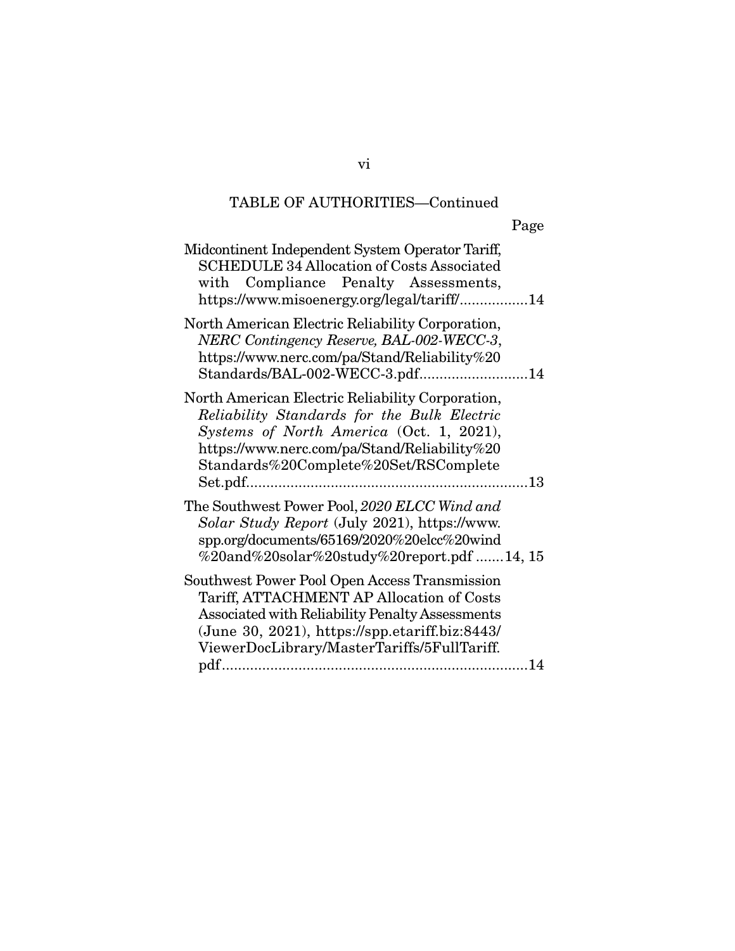| Midcontinent Independent System Operator Tariff,<br><b>SCHEDULE 34 Allocation of Costs Associated</b><br>with Compliance Penalty Assessments,<br>https://www.misoenergy.org/legal/tariff/14                                                          |
|------------------------------------------------------------------------------------------------------------------------------------------------------------------------------------------------------------------------------------------------------|
| North American Electric Reliability Corporation,<br>NERC Contingency Reserve, BAL-002-WECC-3,<br>https://www.nerc.com/pa/Stand/Reliability%20<br>Standards/BAL-002-WECC-3.pdf14                                                                      |
| North American Electric Reliability Corporation,<br>Reliability Standards for the Bulk Electric<br>Systems of North America (Oct. 1, 2021),<br>https://www.nerc.com/pa/Stand/Reliability%20<br>Standards%20Complete%20Set/RSComplete                 |
| The Southwest Power Pool, 2020 ELCC Wind and<br>Solar Study Report (July 2021), https://www.<br>spp.org/documents/65169/2020%20elcc%20wind<br>%20and%20solar%20study%20report.pdf 14, 15                                                             |
| Southwest Power Pool Open Access Transmission<br>Tariff, ATTACHMENT AP Allocation of Costs<br>Associated with Reliability Penalty Assessments<br>(June 30, 2021), https://spp.etariff.biz:8443/<br>ViewerDocLibrary/MasterTariffs/5FullTariff.<br>14 |

vi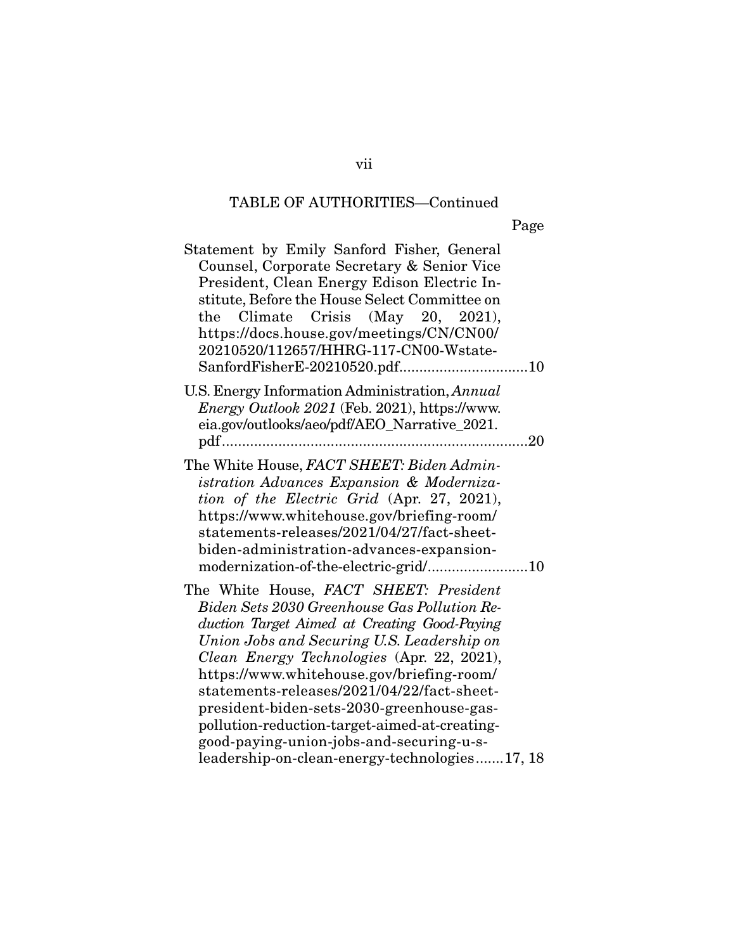Page

| Statement by Emily Sanford Fisher, General<br>Counsel, Corporate Secretary & Senior Vice<br>President, Clean Energy Edison Electric In-<br>stitute, Before the House Select Committee on<br>the Climate Crisis (May 20, 2021),<br>https://docs.house.gov/meetings/CN/CN00/<br>20210520/112657/HHRG-117-CN00-Wstate-<br>SanfordFisherE-20210520.pdf10                                                                                                                                                                     |
|--------------------------------------------------------------------------------------------------------------------------------------------------------------------------------------------------------------------------------------------------------------------------------------------------------------------------------------------------------------------------------------------------------------------------------------------------------------------------------------------------------------------------|
| U.S. Energy Information Administration, Annual<br>Energy Outlook 2021 (Feb. 2021), https://www.<br>eia.gov/outlooks/aeo/pdf/AEO_Narrative_2021.<br>$\ldots$ 20<br>$pdf$                                                                                                                                                                                                                                                                                                                                                  |
| The White House, FACT SHEET: Biden Admin-<br>istration Advances Expansion & Moderniza-<br>tion of the Electric Grid (Apr. 27, 2021),<br>https://www.whitehouse.gov/briefing-room/<br>statements-releases/2021/04/27/fact-sheet-<br>biden-administration-advances-expansion-<br>modernization-of-the-electric-grid/10                                                                                                                                                                                                     |
| The White House, FACT SHEET: President<br>Biden Sets 2030 Greenhouse Gas Pollution Re-<br>duction Target Aimed at Creating Good-Paying<br>Union Jobs and Securing U.S. Leadership on<br>Clean Energy Technologies (Apr. 22, 2021),<br>https://www.whitehouse.gov/briefing-room/<br>statements-releases/2021/04/22/fact-sheet-<br>president-biden-sets-2030-greenhouse-gas-<br>pollution-reduction-target-aimed-at-creating-<br>good-paying-union-jobs-and-securing-u-s-<br>leadership-on-clean-energy-technologies17, 18 |

vii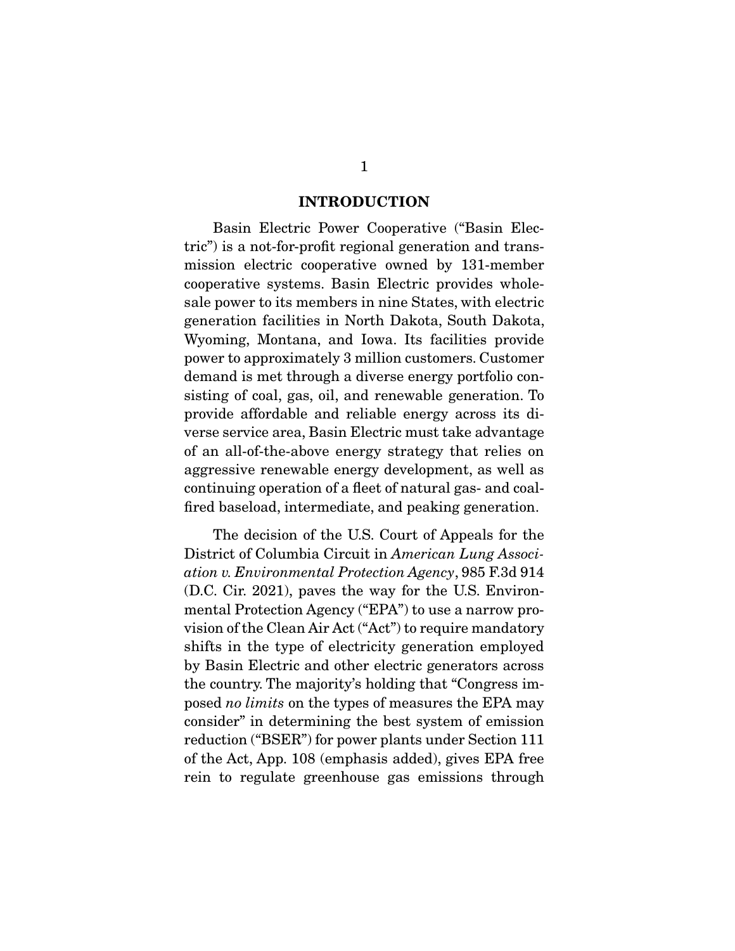#### **INTRODUCTION**

 Basin Electric Power Cooperative ("Basin Electric") is a not-for-profit regional generation and transmission electric cooperative owned by 131-member cooperative systems. Basin Electric provides wholesale power to its members in nine States, with electric generation facilities in North Dakota, South Dakota, Wyoming, Montana, and Iowa. Its facilities provide power to approximately 3 million customers. Customer demand is met through a diverse energy portfolio consisting of coal, gas, oil, and renewable generation. To provide affordable and reliable energy across its diverse service area, Basin Electric must take advantage of an all-of-the-above energy strategy that relies on aggressive renewable energy development, as well as continuing operation of a fleet of natural gas- and coalfired baseload, intermediate, and peaking generation.

 The decision of the U.S. Court of Appeals for the District of Columbia Circuit in American Lung Association v. Environmental Protection Agency, 985 F.3d 914 (D.C. Cir. 2021), paves the way for the U.S. Environmental Protection Agency ("EPA") to use a narrow provision of the Clean Air Act ("Act") to require mandatory shifts in the type of electricity generation employed by Basin Electric and other electric generators across the country. The majority's holding that "Congress imposed no limits on the types of measures the EPA may consider" in determining the best system of emission reduction ("BSER") for power plants under Section 111 of the Act, App. 108 (emphasis added), gives EPA free rein to regulate greenhouse gas emissions through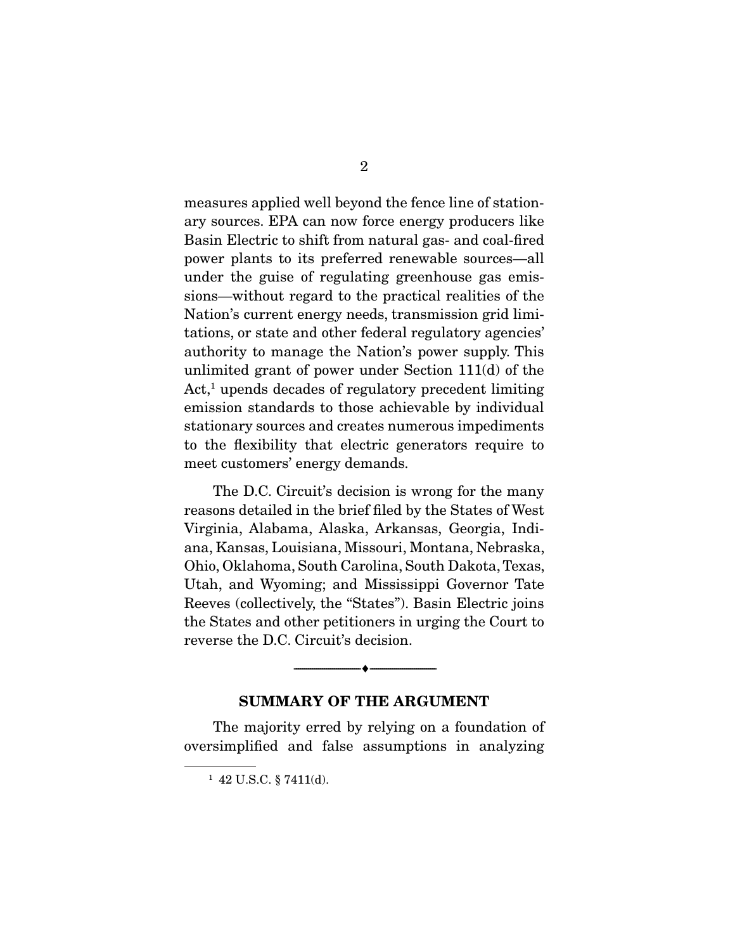measures applied well beyond the fence line of stationary sources. EPA can now force energy producers like Basin Electric to shift from natural gas- and coal-fired power plants to its preferred renewable sources—all under the guise of regulating greenhouse gas emissions—without regard to the practical realities of the Nation's current energy needs, transmission grid limitations, or state and other federal regulatory agencies' authority to manage the Nation's power supply. This unlimited grant of power under Section 111(d) of the Act,<sup>1</sup> upends decades of regulatory precedent limiting emission standards to those achievable by individual stationary sources and creates numerous impediments to the flexibility that electric generators require to meet customers' energy demands.

 The D.C. Circuit's decision is wrong for the many reasons detailed in the brief filed by the States of West Virginia, Alabama, Alaska, Arkansas, Georgia, Indiana, Kansas, Louisiana, Missouri, Montana, Nebraska, Ohio, Oklahoma, South Carolina, South Dakota, Texas, Utah, and Wyoming; and Mississippi Governor Tate Reeves (collectively, the "States"). Basin Electric joins the States and other petitioners in urging the Court to reverse the D.C. Circuit's decision.

#### **SUMMARY OF THE ARGUMENT**

--------------------------------- ♦ ---------------------------------

 The majority erred by relying on a foundation of oversimplified and false assumptions in analyzing

<sup>1</sup> 42 U.S.C. § 7411(d).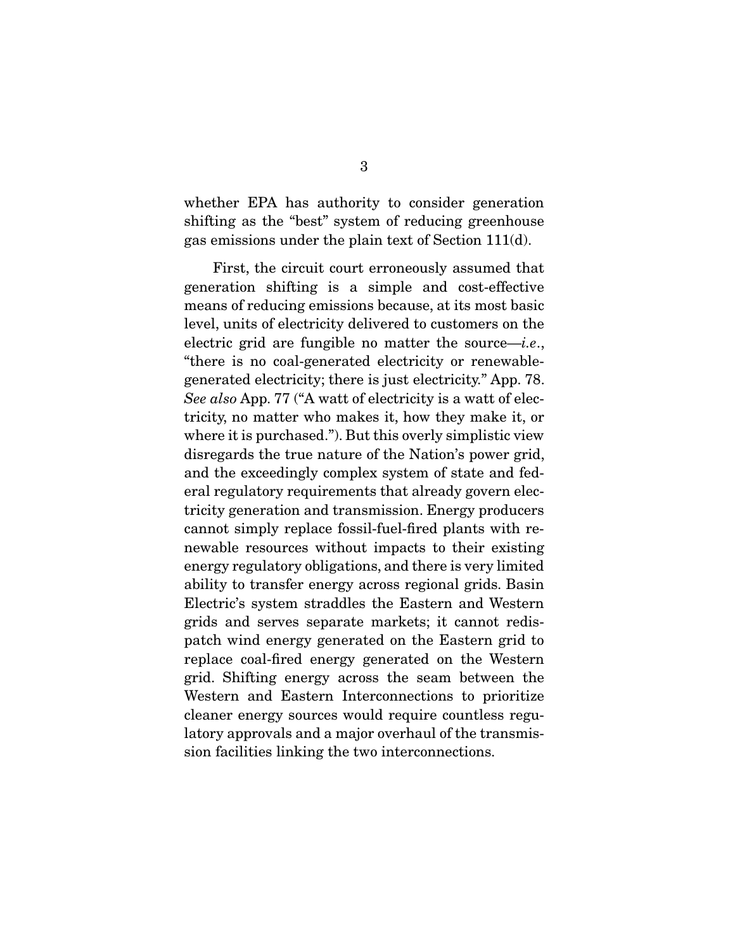whether EPA has authority to consider generation shifting as the "best" system of reducing greenhouse gas emissions under the plain text of Section 111(d).

 First, the circuit court erroneously assumed that generation shifting is a simple and cost-effective means of reducing emissions because, at its most basic level, units of electricity delivered to customers on the electric grid are fungible no matter the source—*i.e.*, "there is no coal-generated electricity or renewablegenerated electricity; there is just electricity." App. 78. See also App. 77 ("A watt of electricity is a watt of electricity, no matter who makes it, how they make it, or where it is purchased."). But this overly simplistic view disregards the true nature of the Nation's power grid, and the exceedingly complex system of state and federal regulatory requirements that already govern electricity generation and transmission. Energy producers cannot simply replace fossil-fuel-fired plants with renewable resources without impacts to their existing energy regulatory obligations, and there is very limited ability to transfer energy across regional grids. Basin Electric's system straddles the Eastern and Western grids and serves separate markets; it cannot redispatch wind energy generated on the Eastern grid to replace coal-fired energy generated on the Western grid. Shifting energy across the seam between the Western and Eastern Interconnections to prioritize cleaner energy sources would require countless regulatory approvals and a major overhaul of the transmission facilities linking the two interconnections.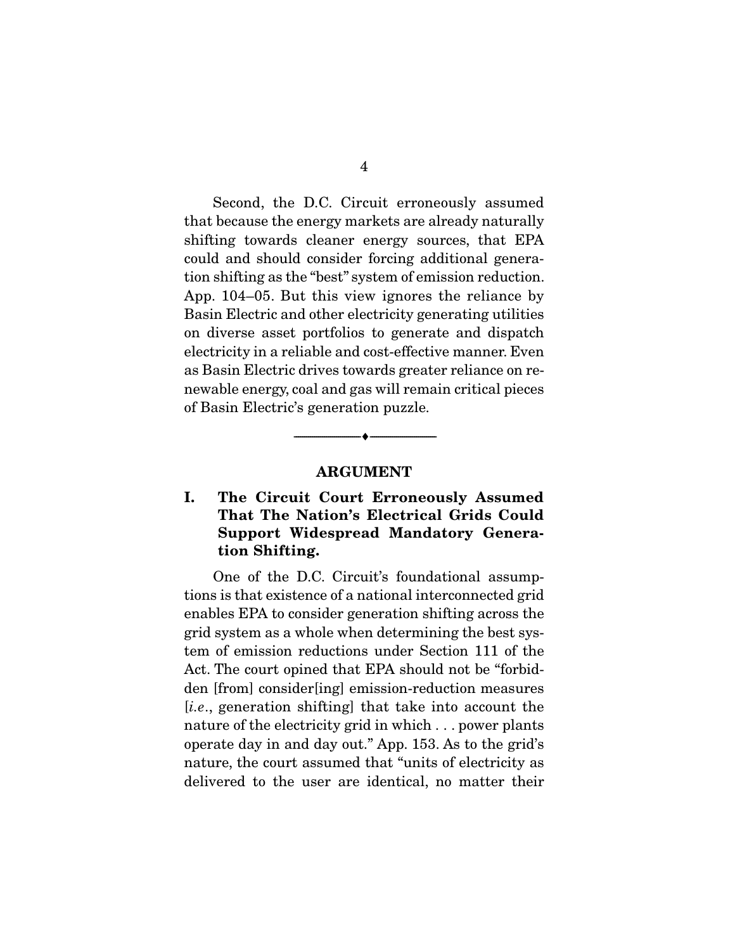Second, the D.C. Circuit erroneously assumed that because the energy markets are already naturally shifting towards cleaner energy sources, that EPA could and should consider forcing additional generation shifting as the "best" system of emission reduction. App. 104–05. But this view ignores the reliance by Basin Electric and other electricity generating utilities on diverse asset portfolios to generate and dispatch electricity in a reliable and cost-effective manner. Even as Basin Electric drives towards greater reliance on renewable energy, coal and gas will remain critical pieces of Basin Electric's generation puzzle.

#### **ARGUMENT**

--------------------------------- ♦ ---------------------------------

### **I. The Circuit Court Erroneously Assumed That The Nation's Electrical Grids Could Support Widespread Mandatory Generation Shifting.**

 One of the D.C. Circuit's foundational assumptions is that existence of a national interconnected grid enables EPA to consider generation shifting across the grid system as a whole when determining the best system of emission reductions under Section 111 of the Act. The court opined that EPA should not be "forbidden [from] consider[ing] emission-reduction measures  $[i.e., generation shifting]$  that take into account the nature of the electricity grid in which . . . power plants operate day in and day out." App. 153. As to the grid's nature, the court assumed that "units of electricity as delivered to the user are identical, no matter their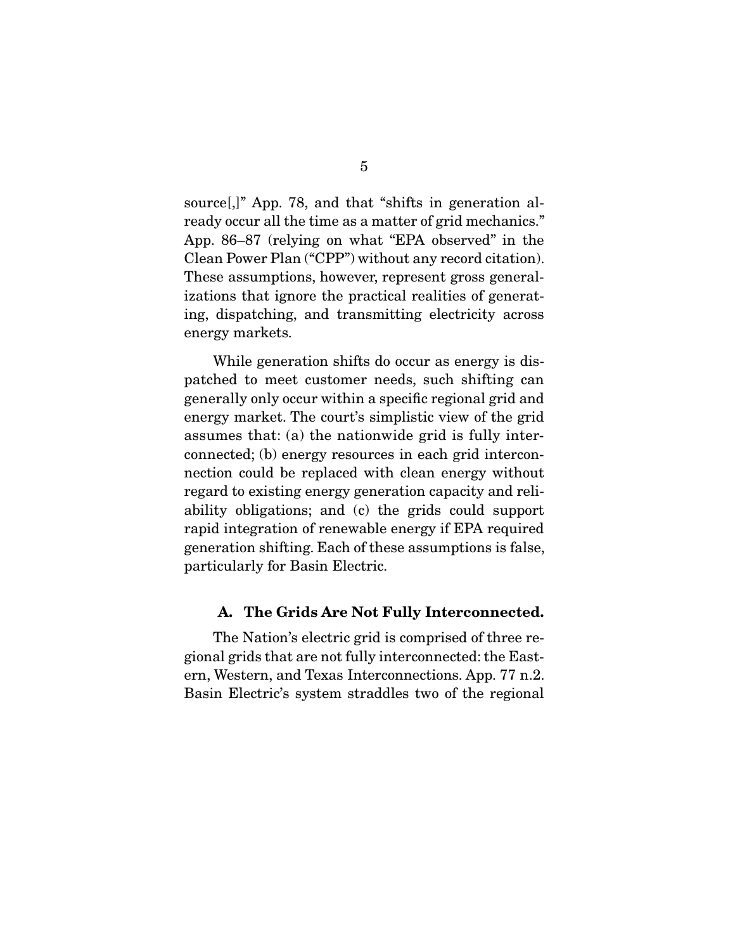source[,]" App. 78, and that "shifts in generation already occur all the time as a matter of grid mechanics." App. 86–87 (relying on what "EPA observed" in the Clean Power Plan ("CPP") without any record citation). These assumptions, however, represent gross generalizations that ignore the practical realities of generating, dispatching, and transmitting electricity across energy markets.

 While generation shifts do occur as energy is dispatched to meet customer needs, such shifting can generally only occur within a specific regional grid and energy market. The court's simplistic view of the grid assumes that: (a) the nationwide grid is fully interconnected; (b) energy resources in each grid interconnection could be replaced with clean energy without regard to existing energy generation capacity and reliability obligations; and (c) the grids could support rapid integration of renewable energy if EPA required generation shifting. Each of these assumptions is false, particularly for Basin Electric.

#### **A. The Grids Are Not Fully Interconnected.**

 The Nation's electric grid is comprised of three regional grids that are not fully interconnected: the Eastern, Western, and Texas Interconnections. App. 77 n.2. Basin Electric's system straddles two of the regional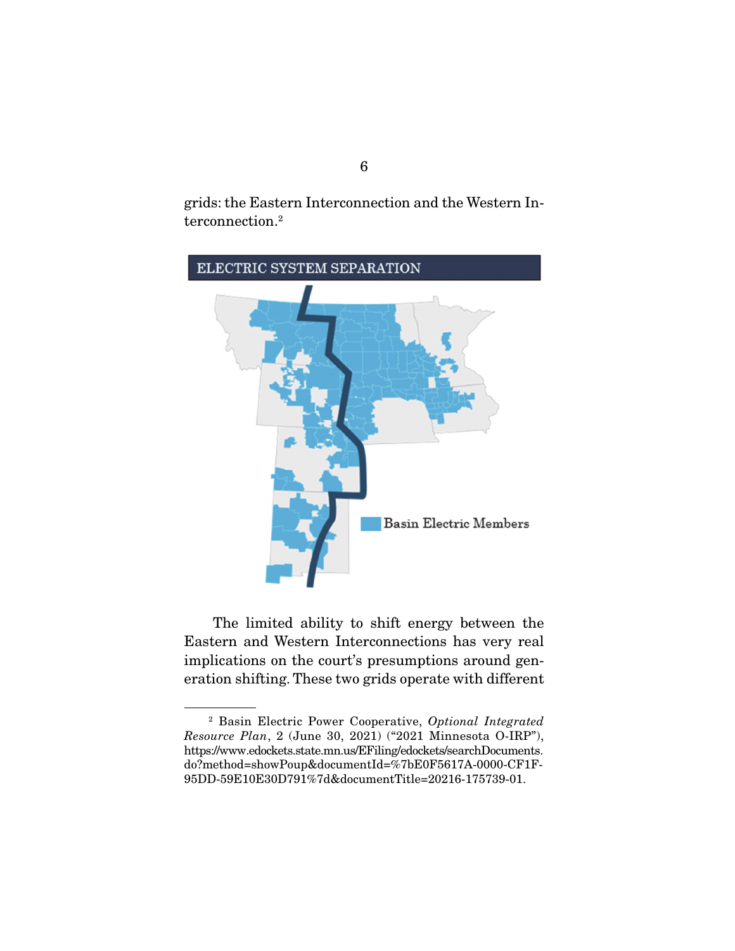grids: the Eastern Interconnection and the Western Interconnection.2



 The limited ability to shift energy between the Eastern and Western Interconnections has very real implications on the court's presumptions around generation shifting. These two grids operate with different

<sup>2</sup> Basin Electric Power Cooperative, Optional Integrated Resource Plan, 2 (June 30, 2021) ("2021 Minnesota O-IRP"), https://www.edockets.state.mn.us/EFiling/edockets/searchDocuments. do?method=showPoup&documentId=%7bE0F5617A-0000-CF1F-95DD-59E10E30D791%7d&documentTitle=20216-175739-01.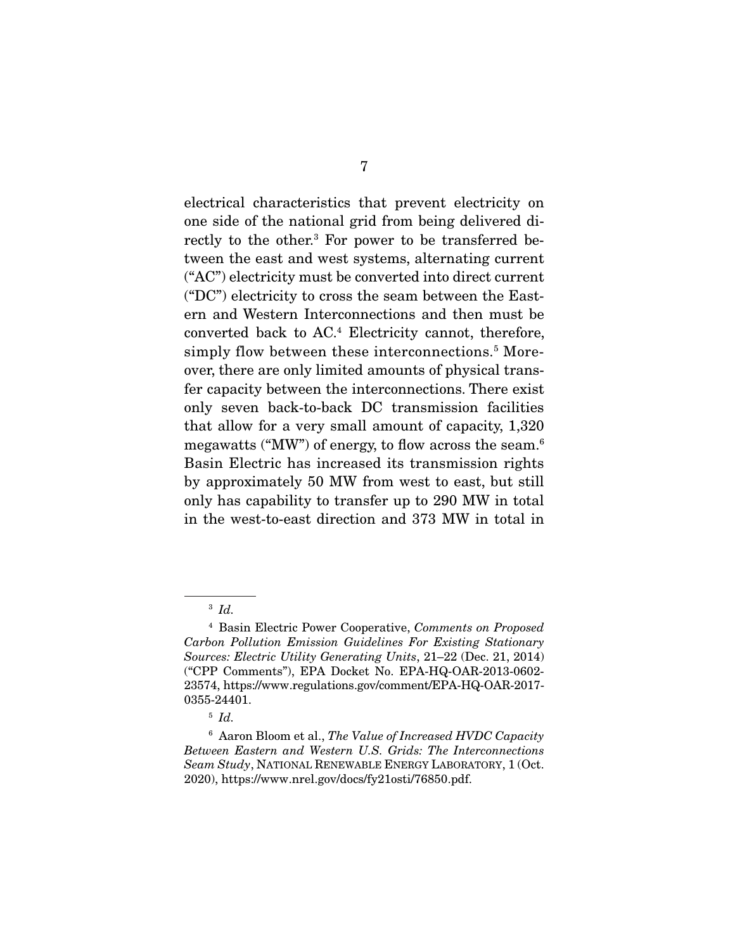electrical characteristics that prevent electricity on one side of the national grid from being delivered directly to the other.<sup>3</sup> For power to be transferred between the east and west systems, alternating current ("AC") electricity must be converted into direct current ("DC") electricity to cross the seam between the Eastern and Western Interconnections and then must be converted back to AC.4 Electricity cannot, therefore, simply flow between these interconnections.<sup>5</sup> Moreover, there are only limited amounts of physical transfer capacity between the interconnections. There exist only seven back-to-back DC transmission facilities that allow for a very small amount of capacity, 1,320 megawatts ("MW") of energy, to flow across the seam.6 Basin Electric has increased its transmission rights by approximately 50 MW from west to east, but still only has capability to transfer up to 290 MW in total in the west-to-east direction and 373 MW in total in

 $3$  Id.

<sup>4</sup> Basin Electric Power Cooperative, Comments on Proposed Carbon Pollution Emission Guidelines For Existing Stationary Sources: Electric Utility Generating Units, 21–22 (Dec. 21, 2014) ("CPP Comments"), EPA Docket No. EPA-HQ-OAR-2013-0602- 23574, https://www.regulations.gov/comment/EPA-HQ-OAR-2017- 0355-24401.

 $5$  Id.

 $6$  Aaron Bloom et al., The Value of Increased HVDC Capacity Between Eastern and Western U.S. Grids: The Interconnections Seam Study, NATIONAL RENEWABLE ENERGY LABORATORY, 1 (Oct. 2020), https://www.nrel.gov/docs/fy21osti/76850.pdf.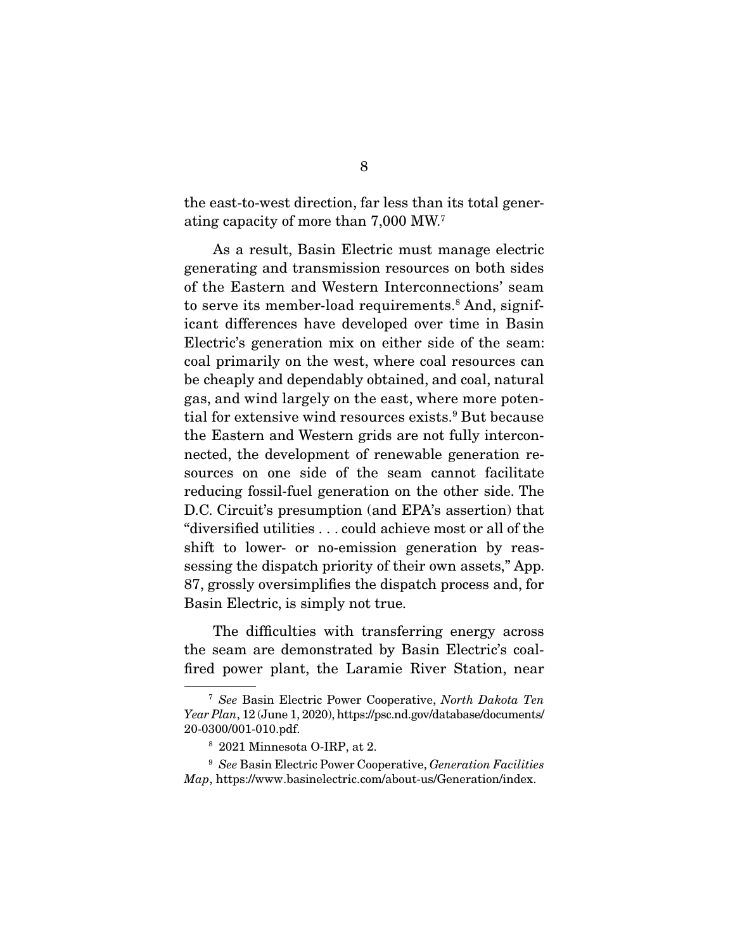the east-to-west direction, far less than its total generating capacity of more than 7,000 MW.7

 As a result, Basin Electric must manage electric generating and transmission resources on both sides of the Eastern and Western Interconnections' seam to serve its member-load requirements.<sup>8</sup> And, significant differences have developed over time in Basin Electric's generation mix on either side of the seam: coal primarily on the west, where coal resources can be cheaply and dependably obtained, and coal, natural gas, and wind largely on the east, where more potential for extensive wind resources exists.<sup>9</sup> But because the Eastern and Western grids are not fully interconnected, the development of renewable generation resources on one side of the seam cannot facilitate reducing fossil-fuel generation on the other side. The D.C. Circuit's presumption (and EPA's assertion) that "diversified utilities . . . could achieve most or all of the shift to lower- or no-emission generation by reassessing the dispatch priority of their own assets," App. 87, grossly oversimplifies the dispatch process and, for Basin Electric, is simply not true.

 The difficulties with transferring energy across the seam are demonstrated by Basin Electric's coalfired power plant, the Laramie River Station, near

<sup>7</sup> See Basin Electric Power Cooperative, North Dakota Ten Year Plan, 12 (June 1, 2020), https://psc.nd.gov/database/documents/ 20-0300/001-010.pdf.

<sup>8</sup> 2021 Minnesota O-IRP, at 2.

<sup>&</sup>lt;sup>9</sup> See Basin Electric Power Cooperative, Generation Facilities Map, https://www.basinelectric.com/about-us/Generation/index.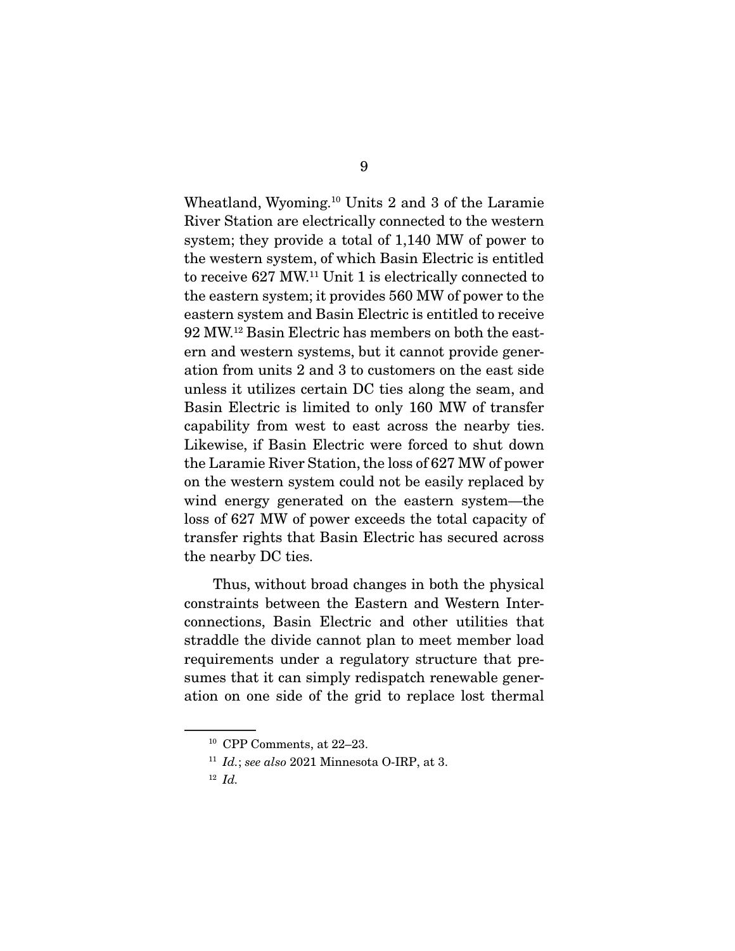Wheatland, Wyoming.10 Units 2 and 3 of the Laramie River Station are electrically connected to the western system; they provide a total of 1,140 MW of power to the western system, of which Basin Electric is entitled to receive 627 MW.11 Unit 1 is electrically connected to the eastern system; it provides 560 MW of power to the eastern system and Basin Electric is entitled to receive 92 MW.12 Basin Electric has members on both the eastern and western systems, but it cannot provide generation from units 2 and 3 to customers on the east side unless it utilizes certain DC ties along the seam, and Basin Electric is limited to only 160 MW of transfer capability from west to east across the nearby ties. Likewise, if Basin Electric were forced to shut down the Laramie River Station, the loss of 627 MW of power on the western system could not be easily replaced by wind energy generated on the eastern system—the loss of 627 MW of power exceeds the total capacity of transfer rights that Basin Electric has secured across the nearby DC ties.

 Thus, without broad changes in both the physical constraints between the Eastern and Western Interconnections, Basin Electric and other utilities that straddle the divide cannot plan to meet member load requirements under a regulatory structure that presumes that it can simply redispatch renewable generation on one side of the grid to replace lost thermal

<sup>10</sup> CPP Comments, at 22–23.

<sup>&</sup>lt;sup>11</sup> Id.; see also 2021 Minnesota O-IRP, at 3.

 $12$  *Id.*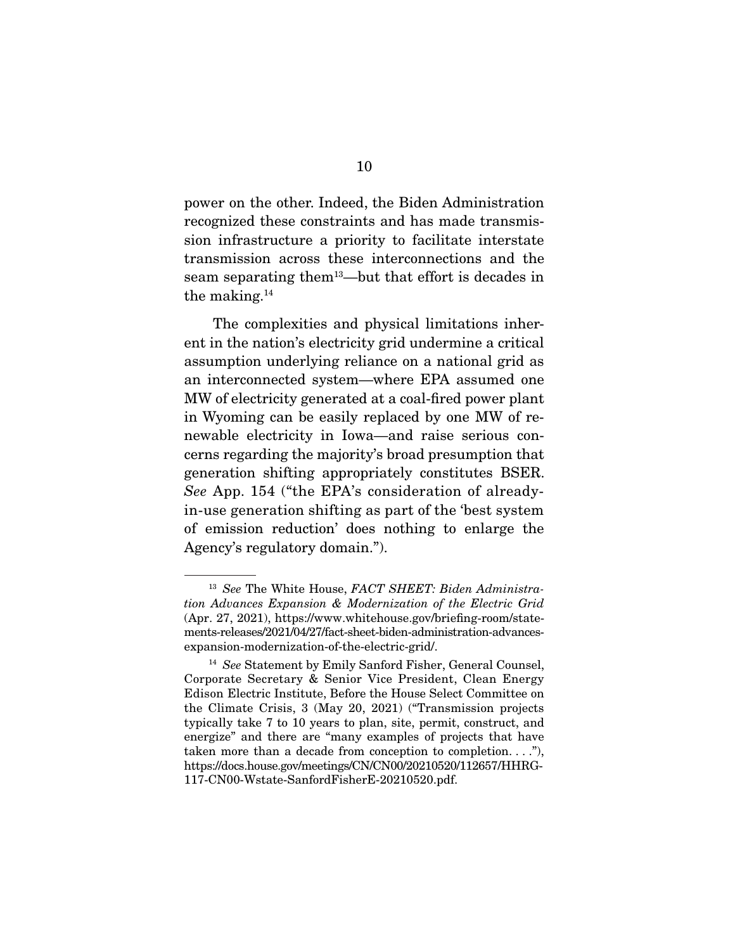power on the other. Indeed, the Biden Administration recognized these constraints and has made transmission infrastructure a priority to facilitate interstate transmission across these interconnections and the seam separating them13—but that effort is decades in the making.14

 The complexities and physical limitations inherent in the nation's electricity grid undermine a critical assumption underlying reliance on a national grid as an interconnected system—where EPA assumed one MW of electricity generated at a coal-fired power plant in Wyoming can be easily replaced by one MW of renewable electricity in Iowa—and raise serious concerns regarding the majority's broad presumption that generation shifting appropriately constitutes BSER. See App. 154 ("the EPA's consideration of alreadyin-use generation shifting as part of the 'best system of emission reduction' does nothing to enlarge the Agency's regulatory domain.").

<sup>&</sup>lt;sup>13</sup> See The White House, FACT SHEET: Biden Administration Advances Expansion & Modernization of the Electric Grid (Apr. 27, 2021), https://www.whitehouse.gov/briefing-room/statements-releases/2021/04/27/fact-sheet-biden-administration-advancesexpansion-modernization-of-the-electric-grid/.

<sup>&</sup>lt;sup>14</sup> See Statement by Emily Sanford Fisher, General Counsel, Corporate Secretary & Senior Vice President, Clean Energy Edison Electric Institute, Before the House Select Committee on the Climate Crisis, 3 (May 20, 2021) ("Transmission projects typically take 7 to 10 years to plan, site, permit, construct, and energize" and there are "many examples of projects that have taken more than a decade from conception to completion...."), https://docs.house.gov/meetings/CN/CN00/20210520/112657/HHRG-117-CN00-Wstate-SanfordFisherE-20210520.pdf.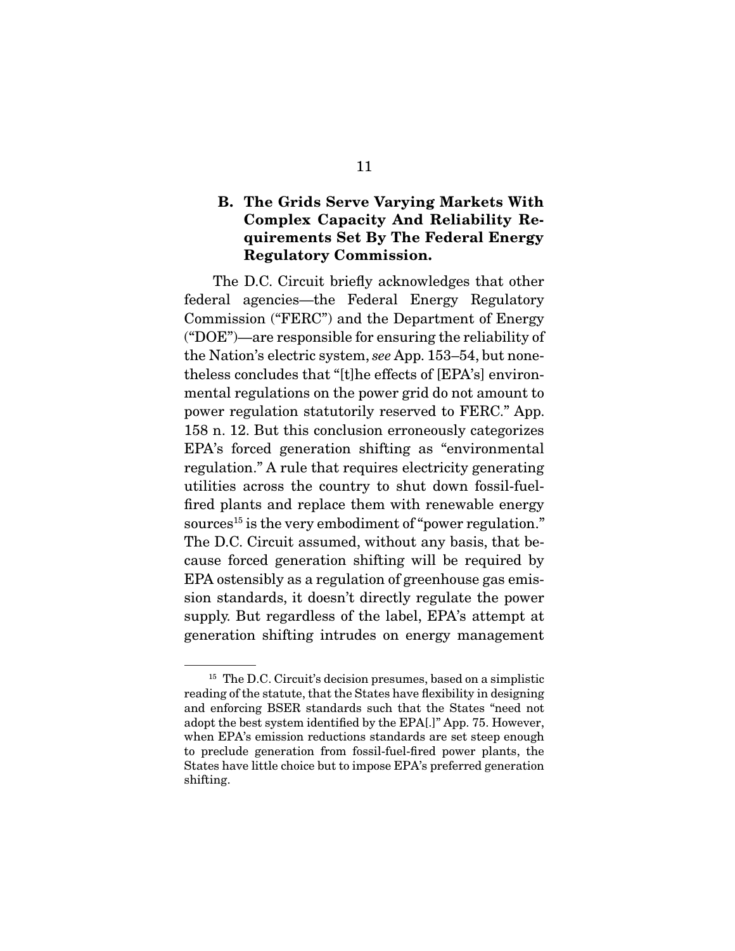### **B. The Grids Serve Varying Markets With Complex Capacity And Reliability Requirements Set By The Federal Energy Regulatory Commission.**

 The D.C. Circuit briefly acknowledges that other federal agencies—the Federal Energy Regulatory Commission ("FERC") and the Department of Energy ("DOE")—are responsible for ensuring the reliability of the Nation's electric system, see App. 153–54, but nonetheless concludes that "[t]he effects of [EPA's] environmental regulations on the power grid do not amount to power regulation statutorily reserved to FERC." App. 158 n. 12. But this conclusion erroneously categorizes EPA's forced generation shifting as "environmental regulation." A rule that requires electricity generating utilities across the country to shut down fossil-fuelfired plants and replace them with renewable energy sources<sup>15</sup> is the very embodiment of "power regulation." The D.C. Circuit assumed, without any basis, that because forced generation shifting will be required by EPA ostensibly as a regulation of greenhouse gas emission standards, it doesn't directly regulate the power supply. But regardless of the label, EPA's attempt at generation shifting intrudes on energy management

<sup>&</sup>lt;sup>15</sup> The D.C. Circuit's decision presumes, based on a simplistic reading of the statute, that the States have flexibility in designing and enforcing BSER standards such that the States "need not adopt the best system identified by the EPA[.]" App. 75. However, when EPA's emission reductions standards are set steep enough to preclude generation from fossil-fuel-fired power plants, the States have little choice but to impose EPA's preferred generation shifting.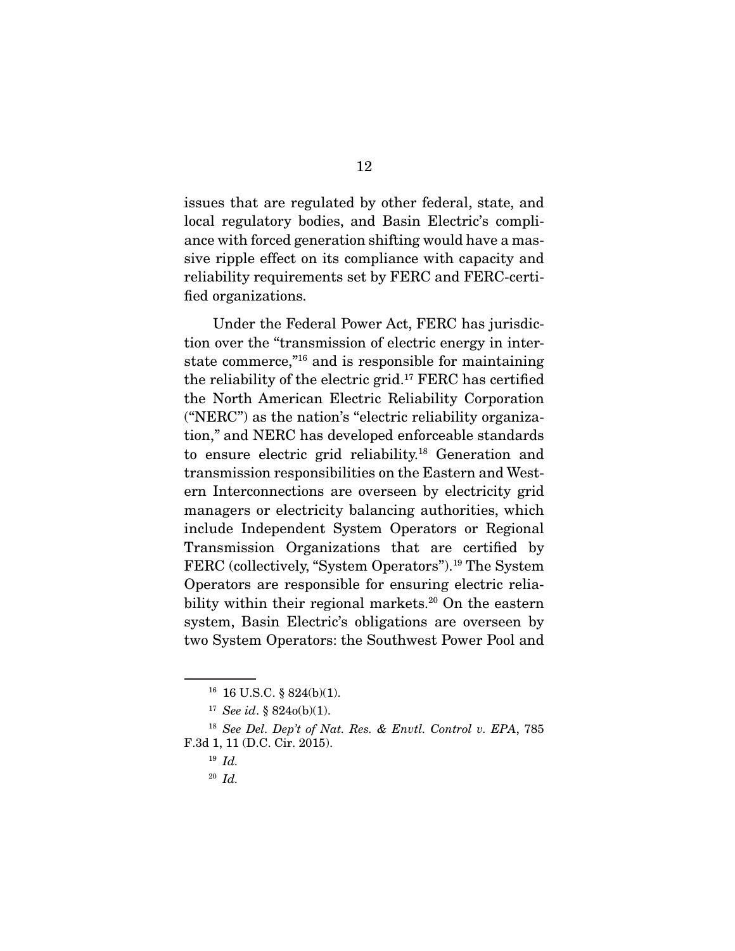issues that are regulated by other federal, state, and local regulatory bodies, and Basin Electric's compliance with forced generation shifting would have a massive ripple effect on its compliance with capacity and reliability requirements set by FERC and FERC-certified organizations.

 Under the Federal Power Act, FERC has jurisdiction over the "transmission of electric energy in interstate commerce,"16 and is responsible for maintaining the reliability of the electric grid.17 FERC has certified the North American Electric Reliability Corporation ("NERC") as the nation's "electric reliability organization," and NERC has developed enforceable standards to ensure electric grid reliability.18 Generation and transmission responsibilities on the Eastern and Western Interconnections are overseen by electricity grid managers or electricity balancing authorities, which include Independent System Operators or Regional Transmission Organizations that are certified by FERC (collectively, "System Operators").19 The System Operators are responsible for ensuring electric reliability within their regional markets.<sup>20</sup> On the eastern system, Basin Electric's obligations are overseen by two System Operators: the Southwest Power Pool and

<sup>16</sup> 16 U.S.C. § 824(b)(1).

 $17$  See id. § 824o(b)(1).

<sup>18</sup> See Del. Dep't of Nat. Res. & Envtl. Control v. EPA, 785 F.3d 1, 11 (D.C. Cir. 2015).

 $19$  *Id.* 

 $20$  *Id.*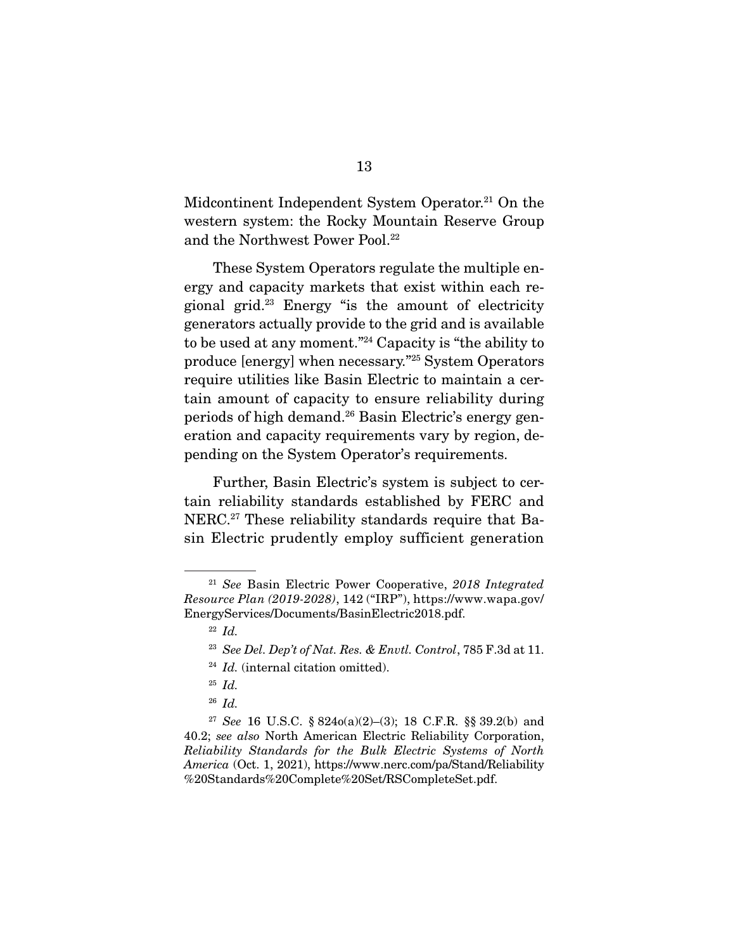Midcontinent Independent System Operator.<sup>21</sup> On the western system: the Rocky Mountain Reserve Group and the Northwest Power Pool.<sup>22</sup>

 These System Operators regulate the multiple energy and capacity markets that exist within each regional grid.23 Energy "is the amount of electricity generators actually provide to the grid and is available to be used at any moment."24 Capacity is "the ability to produce [energy] when necessary."25 System Operators require utilities like Basin Electric to maintain a certain amount of capacity to ensure reliability during periods of high demand.26 Basin Electric's energy generation and capacity requirements vary by region, depending on the System Operator's requirements.

 Further, Basin Electric's system is subject to certain reliability standards established by FERC and NERC.27 These reliability standards require that Basin Electric prudently employ sufficient generation

 $21$  See Basin Electric Power Cooperative, 2018 Integrated  $Resource$   $Plan$   $(2019-2028)$ ,  $142$  ("IRP"), https://www.wapa.gov/ EnergyServices/Documents/BasinElectric2018.pdf.

<sup>22</sup> Id.

<sup>&</sup>lt;sup>23</sup> See Del. Dep't of Nat. Res. & Envtl. Control, 785 F.3d at 11.

 $24$  *Id.* (internal citation omitted).

 $^{25}$  *Id.* 

 $26$  *Id.* 

<sup>27</sup> See 16 U.S.C. § 824o(a)(2)–(3); 18 C.F.R. §§ 39.2(b) and 40.2; see also North American Electric Reliability Corporation, Reliability Standards for the Bulk Electric Systems of North America (Oct. 1, 2021), https://www.nerc.com/pa/Stand/Reliability %20Standards%20Complete%20Set/RSCompleteSet.pdf.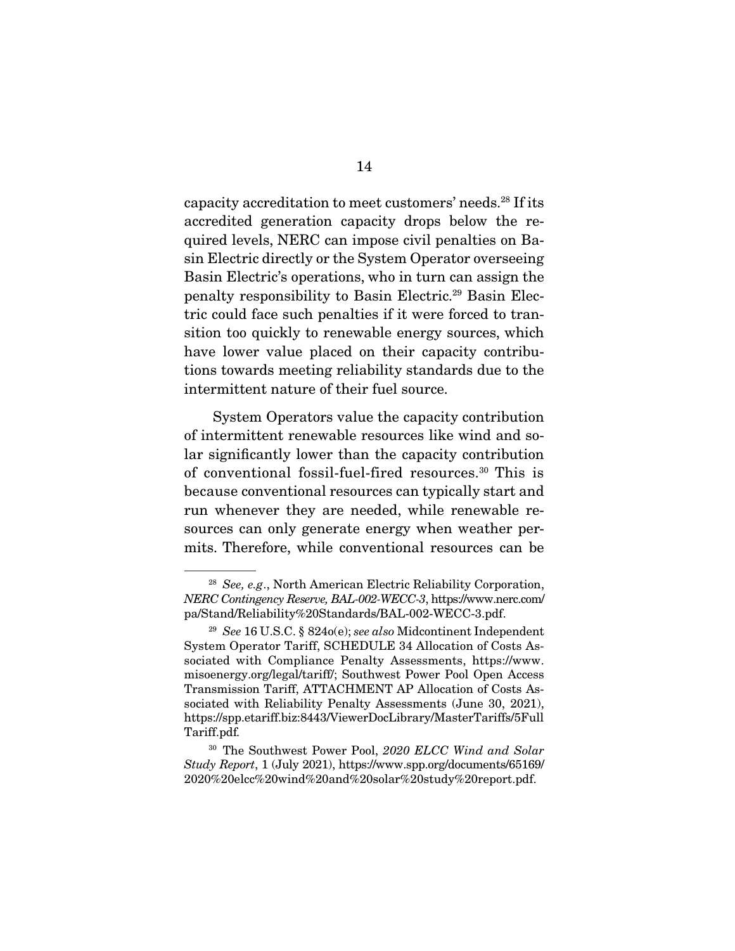capacity accreditation to meet customers' needs.28 If its accredited generation capacity drops below the required levels, NERC can impose civil penalties on Basin Electric directly or the System Operator overseeing Basin Electric's operations, who in turn can assign the penalty responsibility to Basin Electric.29 Basin Electric could face such penalties if it were forced to transition too quickly to renewable energy sources, which have lower value placed on their capacity contributions towards meeting reliability standards due to the intermittent nature of their fuel source.

 System Operators value the capacity contribution of intermittent renewable resources like wind and solar significantly lower than the capacity contribution of conventional fossil-fuel-fired resources.30 This is because conventional resources can typically start and run whenever they are needed, while renewable resources can only generate energy when weather permits. Therefore, while conventional resources can be

 $28$  See, e.g., North American Electric Reliability Corporation, NERC Contingency Reserve, BAL-002-WECC-3, https://www.nerc.com/ pa/Stand/Reliability%20Standards/BAL-002-WECC-3.pdf.

<sup>&</sup>lt;sup>29</sup> See 16 U.S.C. § 824o(e); see also Midcontinent Independent System Operator Tariff, SCHEDULE 34 Allocation of Costs Associated with Compliance Penalty Assessments, https://www. misoenergy.org/legal/tariff/; Southwest Power Pool Open Access Transmission Tariff, ATTACHMENT AP Allocation of Costs Associated with Reliability Penalty Assessments (June 30, 2021), https://spp.etariff.biz:8443/ViewerDocLibrary/MasterTariffs/5Full Tariff.pdf.

<sup>&</sup>lt;sup>30</sup> The Southwest Power Pool, 2020 ELCC Wind and Solar Study Report, 1 (July 2021), https://www.spp.org/documents/65169/ 2020%20elcc%20wind%20and%20solar%20study%20report.pdf.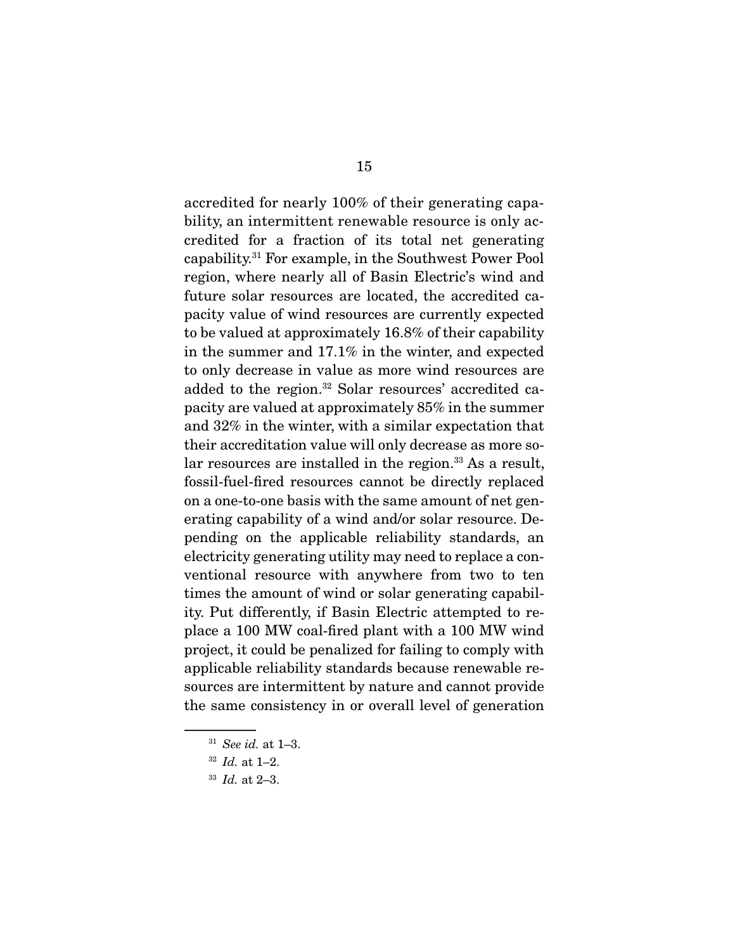accredited for nearly 100% of their generating capability, an intermittent renewable resource is only accredited for a fraction of its total net generating capability.31 For example, in the Southwest Power Pool region, where nearly all of Basin Electric's wind and future solar resources are located, the accredited capacity value of wind resources are currently expected to be valued at approximately 16.8% of their capability in the summer and 17.1% in the winter, and expected to only decrease in value as more wind resources are added to the region.32 Solar resources' accredited capacity are valued at approximately 85% in the summer and 32% in the winter, with a similar expectation that their accreditation value will only decrease as more solar resources are installed in the region.<sup>33</sup> As a result, fossil-fuel-fired resources cannot be directly replaced on a one-to-one basis with the same amount of net generating capability of a wind and/or solar resource. Depending on the applicable reliability standards, an electricity generating utility may need to replace a conventional resource with anywhere from two to ten times the amount of wind or solar generating capability. Put differently, if Basin Electric attempted to replace a 100 MW coal-fired plant with a 100 MW wind project, it could be penalized for failing to comply with applicable reliability standards because renewable resources are intermittent by nature and cannot provide the same consistency in or overall level of generation

- $31$  See id. at 1-3.
- $32$  *Id.* at  $1-2$ .
- $33$  *Id.* at 2-3.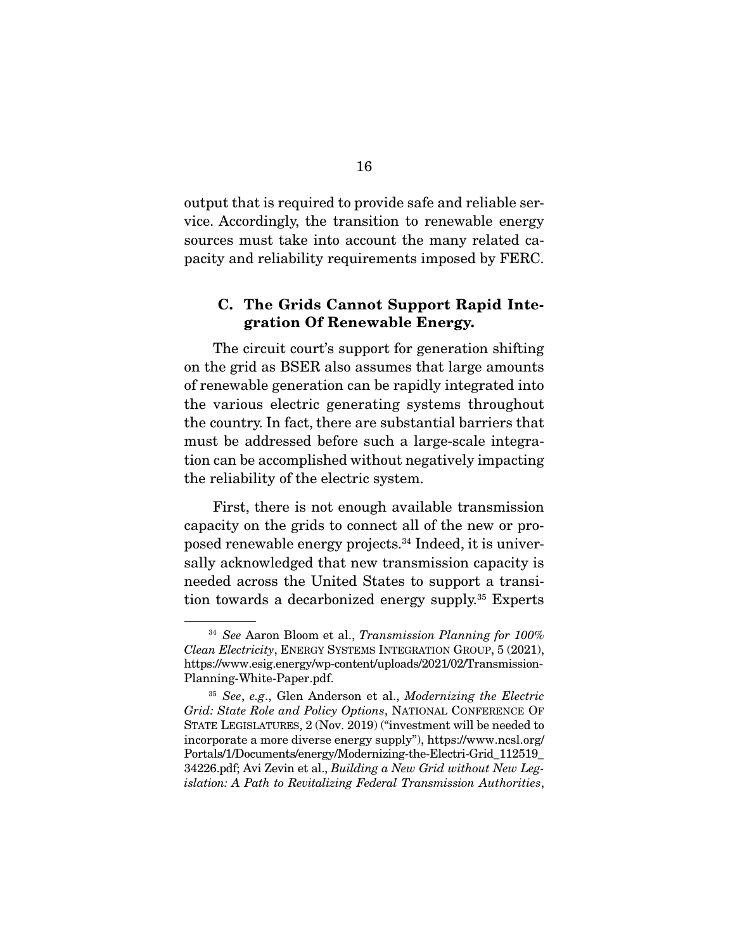output that is required to provide safe and reliable service. Accordingly, the transition to renewable energy sources must take into account the many related capacity and reliability requirements imposed by FERC.

### **C. The Grids Cannot Support Rapid Integration Of Renewable Energy.**

 The circuit court's support for generation shifting on the grid as BSER also assumes that large amounts of renewable generation can be rapidly integrated into the various electric generating systems throughout the country. In fact, there are substantial barriers that must be addressed before such a large-scale integration can be accomplished without negatively impacting the reliability of the electric system.

 First, there is not enough available transmission capacity on the grids to connect all of the new or proposed renewable energy projects.34 Indeed, it is universally acknowledged that new transmission capacity is needed across the United States to support a transition towards a decarbonized energy supply.<sup>35</sup> Experts

 $34$  See Aaron Bloom et al., Transmission Planning for 100% Clean Electricity, ENERGY SYSTEMS INTEGRATION GROUP, 5 (2021), https://www.esig.energy/wp-content/uploads/2021/02/Transmission-Planning-White-Paper.pdf.

 $35$  See, e.g., Glen Anderson et al., *Modernizing the Electric* Grid: State Role and Policy Options, NATIONAL CONFERENCE OF STATE LEGISLATURES, 2 (Nov. 2019) ("investment will be needed to incorporate a more diverse energy supply"), https://www.ncsl.org/ Portals/1/Documents/energy/Modernizing-the-Electri-Grid\_112519\_ 34226.pdf; Avi Zevin et al., Building a New Grid without New Legislation: A Path to Revitalizing Federal Transmission Authorities,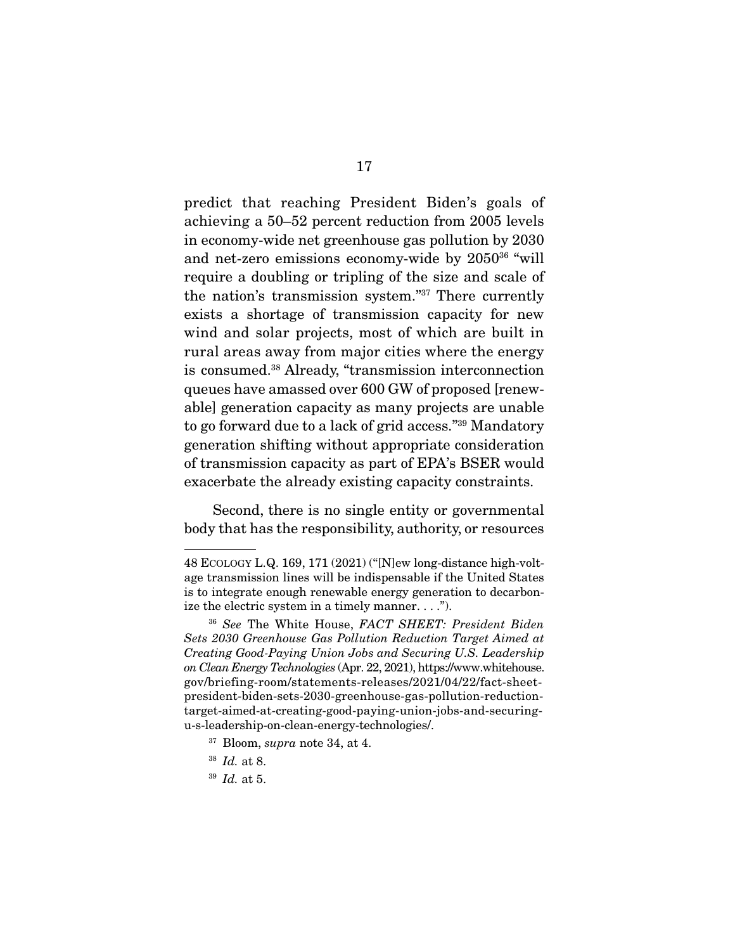predict that reaching President Biden's goals of achieving a 50–52 percent reduction from 2005 levels in economy-wide net greenhouse gas pollution by 2030 and net-zero emissions economy-wide by 205036 "will require a doubling or tripling of the size and scale of the nation's transmission system."37 There currently exists a shortage of transmission capacity for new wind and solar projects, most of which are built in rural areas away from major cities where the energy is consumed.38 Already, "transmission interconnection queues have amassed over 600 GW of proposed [renewable] generation capacity as many projects are unable to go forward due to a lack of grid access."39 Mandatory generation shifting without appropriate consideration of transmission capacity as part of EPA's BSER would exacerbate the already existing capacity constraints.

 Second, there is no single entity or governmental body that has the responsibility, authority, or resources

<sup>48</sup> ECOLOGY L.Q. 169, 171 (2021) ("[N]ew long-distance high-voltage transmission lines will be indispensable if the United States is to integrate enough renewable energy generation to decarbonize the electric system in a timely manner. . . .").

<sup>&</sup>lt;sup>36</sup> See The White House, FACT SHEET: President Biden Sets 2030 Greenhouse Gas Pollution Reduction Target Aimed at Creating Good-Paying Union Jobs and Securing U.S. Leadership on Clean Energy Technologies (Apr. 22, 2021), https://www.whitehouse. gov/briefing-room/statements-releases/2021/04/22/fact-sheetpresident-biden-sets-2030-greenhouse-gas-pollution-reductiontarget-aimed-at-creating-good-paying-union-jobs-and-securingu-s-leadership-on-clean-energy-technologies/.

 $37$  Bloom, supra note 34, at 4.

<sup>38</sup> Id. at 8.

 $39$  *Id.* at 5.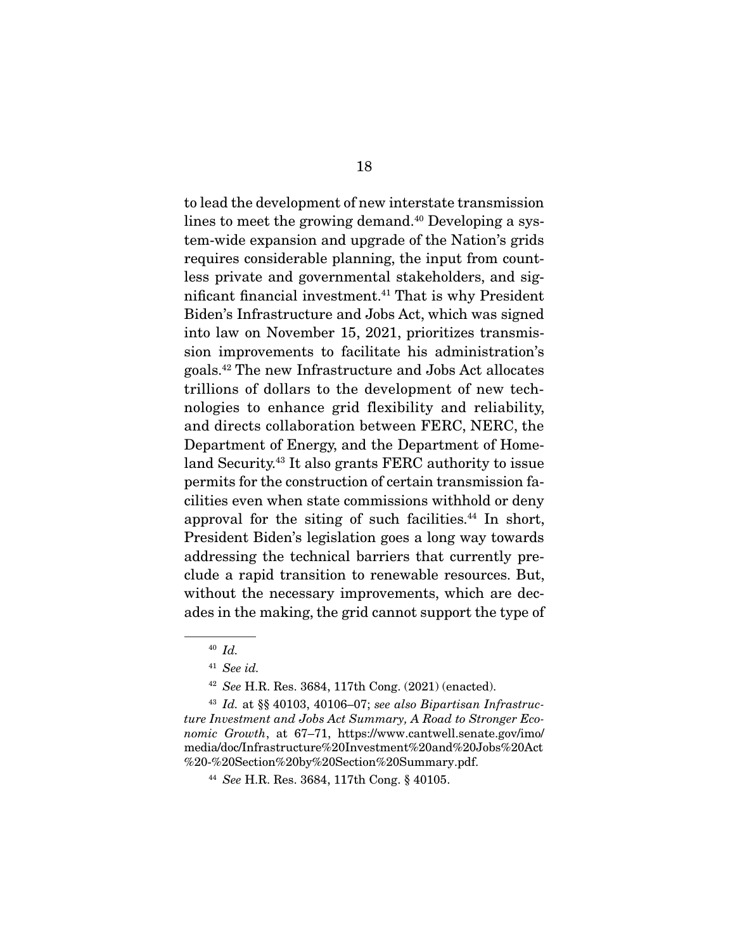to lead the development of new interstate transmission lines to meet the growing demand.40 Developing a system-wide expansion and upgrade of the Nation's grids requires considerable planning, the input from countless private and governmental stakeholders, and significant financial investment.41 That is why President Biden's Infrastructure and Jobs Act, which was signed into law on November 15, 2021, prioritizes transmission improvements to facilitate his administration's goals.42 The new Infrastructure and Jobs Act allocates trillions of dollars to the development of new technologies to enhance grid flexibility and reliability, and directs collaboration between FERC, NERC, the Department of Energy, and the Department of Homeland Security.43 It also grants FERC authority to issue permits for the construction of certain transmission facilities even when state commissions withhold or deny approval for the siting of such facilities.<sup>44</sup> In short, President Biden's legislation goes a long way towards addressing the technical barriers that currently preclude a rapid transition to renewable resources. But, without the necessary improvements, which are decades in the making, the grid cannot support the type of

 $40$  *Id.* 

 $41$  See id.

<sup>42</sup> See H.R. Res. 3684, 117th Cong. (2021) (enacted).

 $43$  Id. at  $\S\$  40103, 40106–07; see also Bipartisan Infrastructure Investment and Jobs Act Summary, A Road to Stronger Economic Growth, at 67–71, https://www.cantwell.senate.gov/imo/ media/doc/Infrastructure%20Investment%20and%20Jobs%20Act %20-%20Section%20by%20Section%20Summary.pdf.

<sup>44</sup> See H.R. Res. 3684, 117th Cong. § 40105.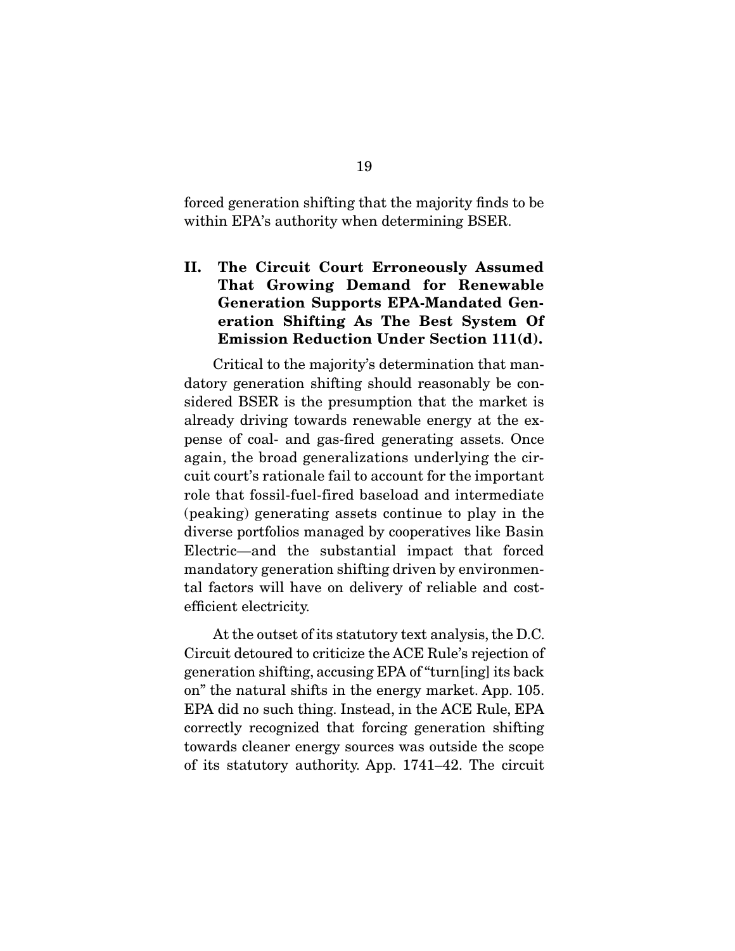forced generation shifting that the majority finds to be within EPA's authority when determining BSER.

### **II. The Circuit Court Erroneously Assumed That Growing Demand for Renewable Generation Supports EPA-Mandated Generation Shifting As The Best System Of Emission Reduction Under Section 111(d).**

 Critical to the majority's determination that mandatory generation shifting should reasonably be considered BSER is the presumption that the market is already driving towards renewable energy at the expense of coal- and gas-fired generating assets. Once again, the broad generalizations underlying the circuit court's rationale fail to account for the important role that fossil-fuel-fired baseload and intermediate (peaking) generating assets continue to play in the diverse portfolios managed by cooperatives like Basin Electric—and the substantial impact that forced mandatory generation shifting driven by environmental factors will have on delivery of reliable and costefficient electricity.

 At the outset of its statutory text analysis, the D.C. Circuit detoured to criticize the ACE Rule's rejection of generation shifting, accusing EPA of "turn[ing] its back on" the natural shifts in the energy market. App. 105. EPA did no such thing. Instead, in the ACE Rule, EPA correctly recognized that forcing generation shifting towards cleaner energy sources was outside the scope of its statutory authority. App. 1741–42. The circuit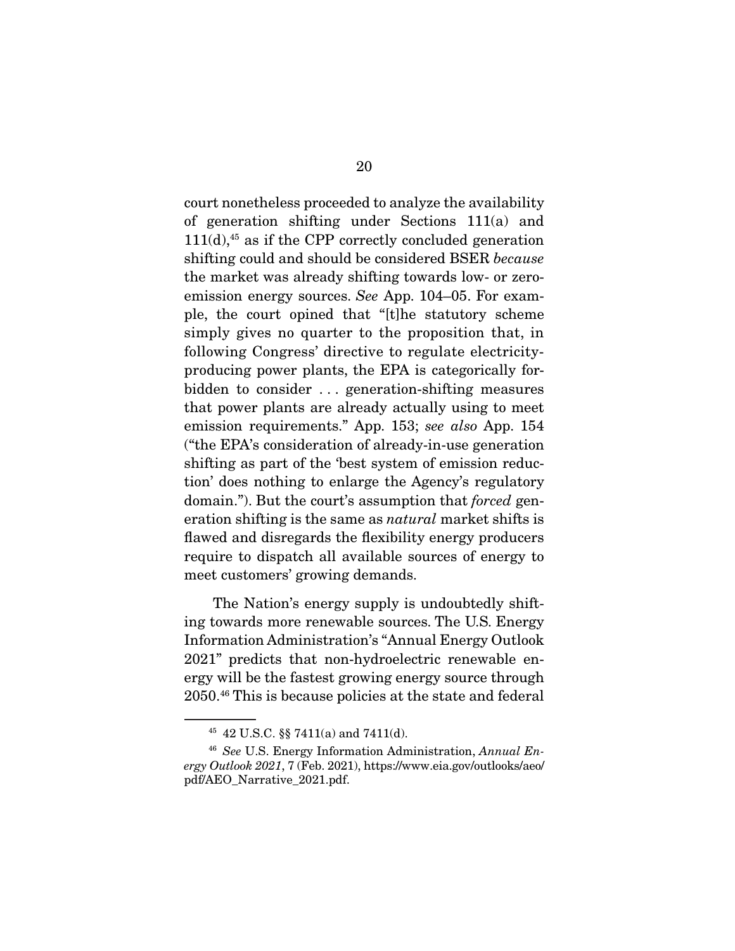court nonetheless proceeded to analyze the availability of generation shifting under Sections 111(a) and  $111(d)$ ,<sup>45</sup> as if the CPP correctly concluded generation shifting could and should be considered BSER because the market was already shifting towards low- or zeroemission energy sources. See App. 104–05. For example, the court opined that "[t]he statutory scheme simply gives no quarter to the proposition that, in following Congress' directive to regulate electricityproducing power plants, the EPA is categorically forbidden to consider . . . generation-shifting measures that power plants are already actually using to meet emission requirements." App. 153; see also App. 154 ("the EPA's consideration of already-in-use generation shifting as part of the 'best system of emission reduction' does nothing to enlarge the Agency's regulatory domain."). But the court's assumption that *forced* generation shifting is the same as natural market shifts is flawed and disregards the flexibility energy producers require to dispatch all available sources of energy to meet customers' growing demands.

 The Nation's energy supply is undoubtedly shifting towards more renewable sources. The U.S. Energy Information Administration's "Annual Energy Outlook 2021" predicts that non-hydroelectric renewable energy will be the fastest growing energy source through 2050.46 This is because policies at the state and federal

<sup>45</sup> 42 U.S.C. §§ 7411(a) and 7411(d).

 $46$  See U.S. Energy Information Administration, Annual Energy Outlook 2021, 7 (Feb. 2021), https://www.eia.gov/outlooks/aeo/ pdf/AEO\_Narrative\_2021.pdf.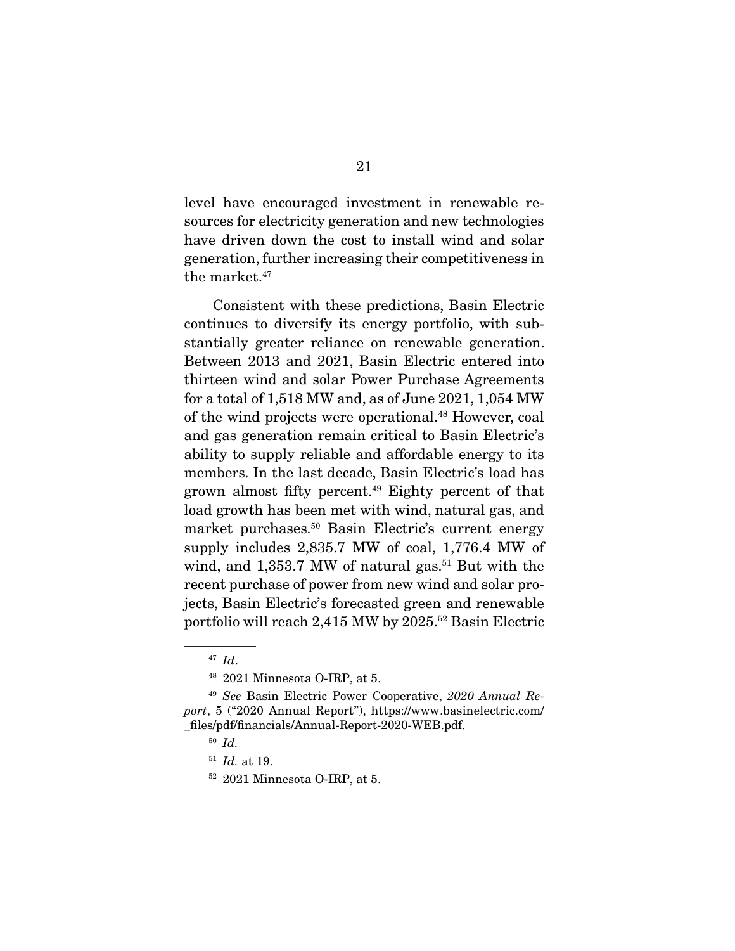level have encouraged investment in renewable resources for electricity generation and new technologies have driven down the cost to install wind and solar generation, further increasing their competitiveness in the market.<sup>47</sup>

 Consistent with these predictions, Basin Electric continues to diversify its energy portfolio, with substantially greater reliance on renewable generation. Between 2013 and 2021, Basin Electric entered into thirteen wind and solar Power Purchase Agreements for a total of 1,518 MW and, as of June 2021, 1,054 MW of the wind projects were operational.<sup>48</sup> However, coal and gas generation remain critical to Basin Electric's ability to supply reliable and affordable energy to its members. In the last decade, Basin Electric's load has grown almost fifty percent.49 Eighty percent of that load growth has been met with wind, natural gas, and market purchases.50 Basin Electric's current energy supply includes 2,835.7 MW of coal, 1,776.4 MW of wind, and  $1,353.7$  MW of natural gas.<sup>51</sup> But with the recent purchase of power from new wind and solar projects, Basin Electric's forecasted green and renewable portfolio will reach 2,415 MW by 2025.52 Basin Electric

 $47$  Id.

<sup>48</sup> 2021 Minnesota O-IRP, at 5.

<sup>49</sup> See Basin Electric Power Cooperative, 2020 Annual Report, 5 ("2020 Annual Report"), https://www.basinelectric.com/ \_files/pdf/financials/Annual-Report-2020-WEB.pdf.

 $50$   $Id$ .

 $51$  *Id.* at 19.

<sup>52</sup> 2021 Minnesota O-IRP, at 5.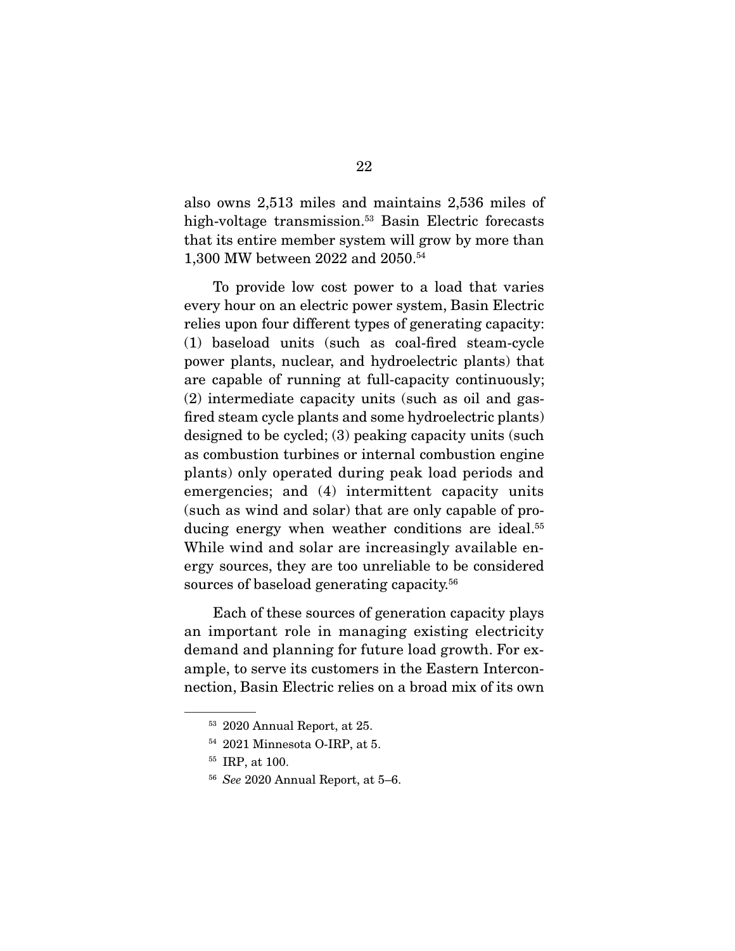also owns 2,513 miles and maintains 2,536 miles of high-voltage transmission.<sup>53</sup> Basin Electric forecasts that its entire member system will grow by more than 1,300 MW between 2022 and 2050.54

 To provide low cost power to a load that varies every hour on an electric power system, Basin Electric relies upon four different types of generating capacity: (1) baseload units (such as coal-fired steam-cycle power plants, nuclear, and hydroelectric plants) that are capable of running at full-capacity continuously; (2) intermediate capacity units (such as oil and gasfired steam cycle plants and some hydroelectric plants) designed to be cycled; (3) peaking capacity units (such as combustion turbines or internal combustion engine plants) only operated during peak load periods and emergencies; and (4) intermittent capacity units (such as wind and solar) that are only capable of producing energy when weather conditions are ideal.<sup>55</sup> While wind and solar are increasingly available energy sources, they are too unreliable to be considered sources of baseload generating capacity.<sup>56</sup>

 Each of these sources of generation capacity plays an important role in managing existing electricity demand and planning for future load growth. For example, to serve its customers in the Eastern Interconnection, Basin Electric relies on a broad mix of its own

<sup>53</sup> 2020 Annual Report, at 25.

<sup>54</sup> 2021 Minnesota O-IRP, at 5.

<sup>55</sup> IRP, at 100.

<sup>56</sup> See 2020 Annual Report, at 5–6.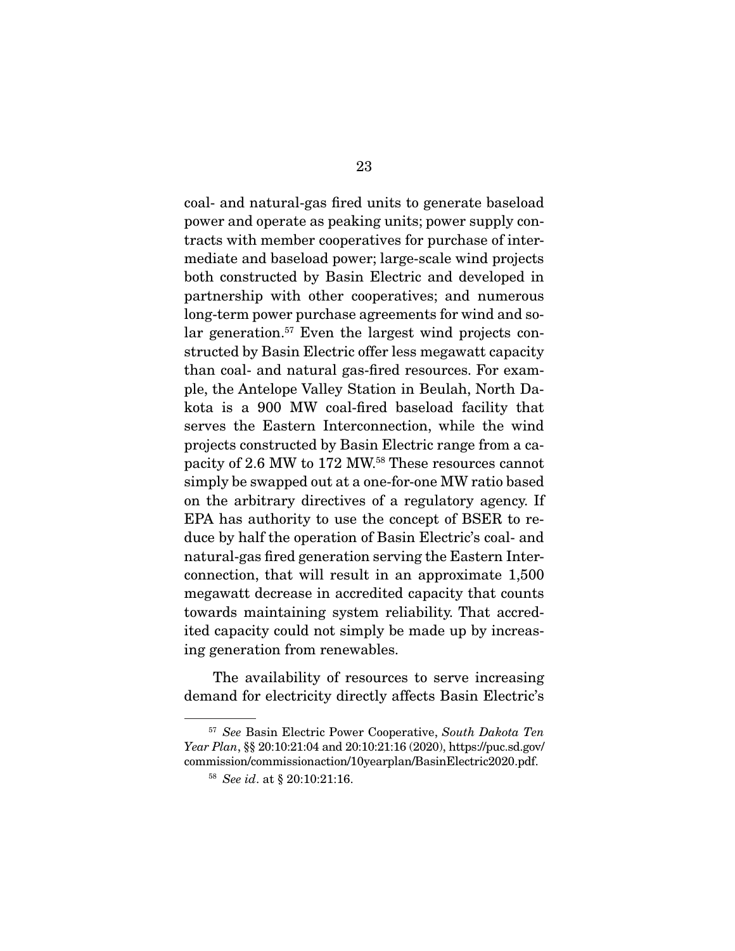coal- and natural-gas fired units to generate baseload power and operate as peaking units; power supply contracts with member cooperatives for purchase of intermediate and baseload power; large-scale wind projects both constructed by Basin Electric and developed in partnership with other cooperatives; and numerous long-term power purchase agreements for wind and solar generation.<sup>57</sup> Even the largest wind projects constructed by Basin Electric offer less megawatt capacity than coal- and natural gas-fired resources. For example, the Antelope Valley Station in Beulah, North Dakota is a 900 MW coal-fired baseload facility that serves the Eastern Interconnection, while the wind projects constructed by Basin Electric range from a capacity of 2.6 MW to 172 MW.58 These resources cannot simply be swapped out at a one-for-one MW ratio based on the arbitrary directives of a regulatory agency. If EPA has authority to use the concept of BSER to reduce by half the operation of Basin Electric's coal- and natural-gas fired generation serving the Eastern Interconnection, that will result in an approximate 1,500 megawatt decrease in accredited capacity that counts towards maintaining system reliability. That accredited capacity could not simply be made up by increasing generation from renewables.

 The availability of resources to serve increasing demand for electricity directly affects Basin Electric's

<sup>57</sup> See Basin Electric Power Cooperative, South Dakota Ten Year Plan, §§ 20:10:21:04 and 20:10:21:16 (2020), https://puc.sd.gov/ commission/commissionaction/10yearplan/BasinElectric2020.pdf.

<sup>58</sup> See id. at § 20:10:21:16.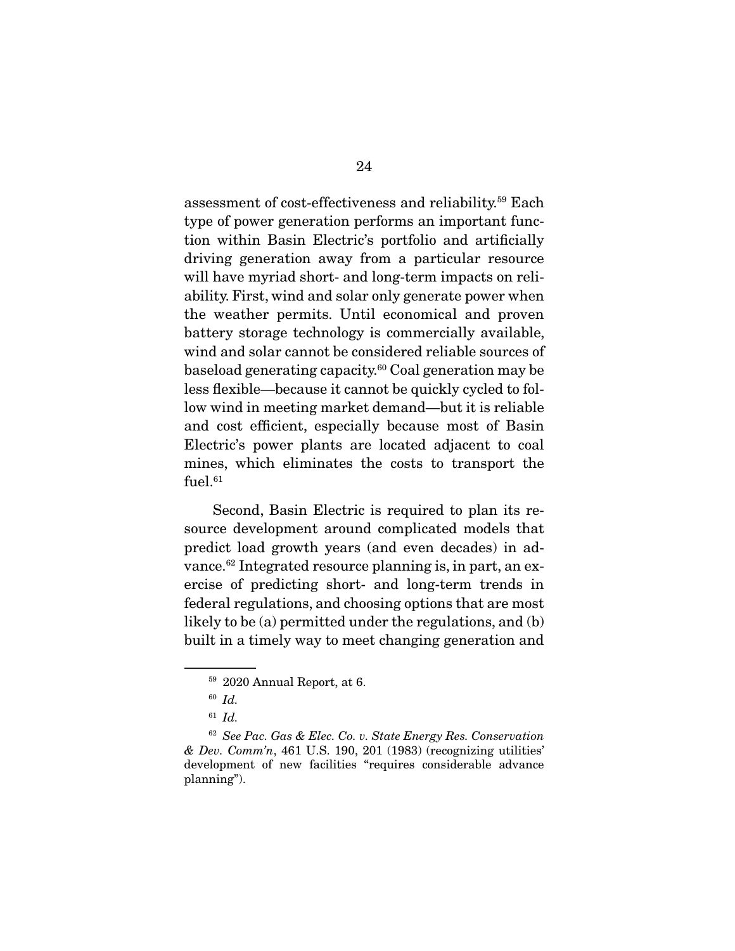assessment of cost-effectiveness and reliability.59 Each type of power generation performs an important function within Basin Electric's portfolio and artificially driving generation away from a particular resource will have myriad short- and long-term impacts on reliability. First, wind and solar only generate power when the weather permits. Until economical and proven battery storage technology is commercially available, wind and solar cannot be considered reliable sources of baseload generating capacity.60 Coal generation may be less flexible—because it cannot be quickly cycled to follow wind in meeting market demand—but it is reliable and cost efficient, especially because most of Basin Electric's power plants are located adjacent to coal mines, which eliminates the costs to transport the fuel.<sup>61</sup>

 Second, Basin Electric is required to plan its resource development around complicated models that predict load growth years (and even decades) in advance.<sup>62</sup> Integrated resource planning is, in part, an exercise of predicting short- and long-term trends in federal regulations, and choosing options that are most likely to be (a) permitted under the regulations, and (b) built in a timely way to meet changing generation and

<sup>59</sup> 2020 Annual Report, at 6.

<sup>60</sup> Id.

 $61$  *Id.* 

 $62$  See Pac. Gas & Elec. Co. v. State Energy Res. Conservation & Dev. Comm'n, 461 U.S. 190, 201 (1983) (recognizing utilities' development of new facilities "requires considerable advance planning").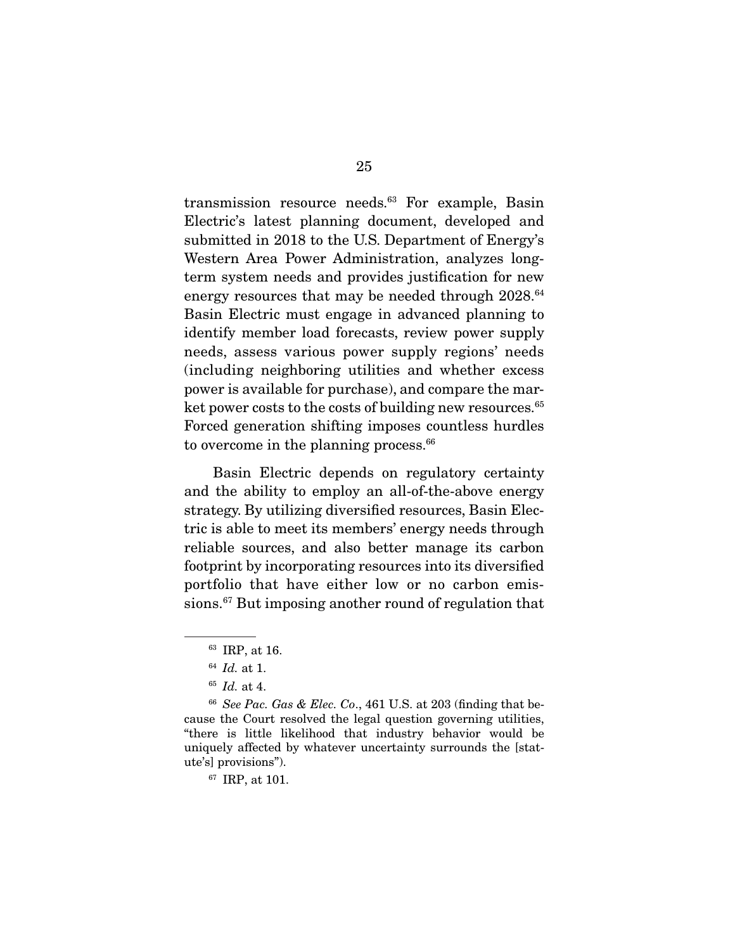transmission resource needs.63 For example, Basin Electric's latest planning document, developed and submitted in 2018 to the U.S. Department of Energy's Western Area Power Administration, analyzes longterm system needs and provides justification for new energy resources that may be needed through 2028.<sup>64</sup> Basin Electric must engage in advanced planning to identify member load forecasts, review power supply needs, assess various power supply regions' needs (including neighboring utilities and whether excess power is available for purchase), and compare the market power costs to the costs of building new resources.<sup>65</sup> Forced generation shifting imposes countless hurdles to overcome in the planning process.<sup>66</sup>

 Basin Electric depends on regulatory certainty and the ability to employ an all-of-the-above energy strategy. By utilizing diversified resources, Basin Electric is able to meet its members' energy needs through reliable sources, and also better manage its carbon footprint by incorporating resources into its diversified portfolio that have either low or no carbon emissions.67 But imposing another round of regulation that

 $66$  See Pac. Gas & Elec. Co., 461 U.S. at 203 (finding that because the Court resolved the legal question governing utilities, "there is little likelihood that industry behavior would be uniquely affected by whatever uncertainty surrounds the [statute's] provisions").

<sup>67</sup> IRP, at 101.

<sup>63</sup> IRP, at 16.

<sup>64</sup> Id. at 1.

 $65$  *Id.* at 4.